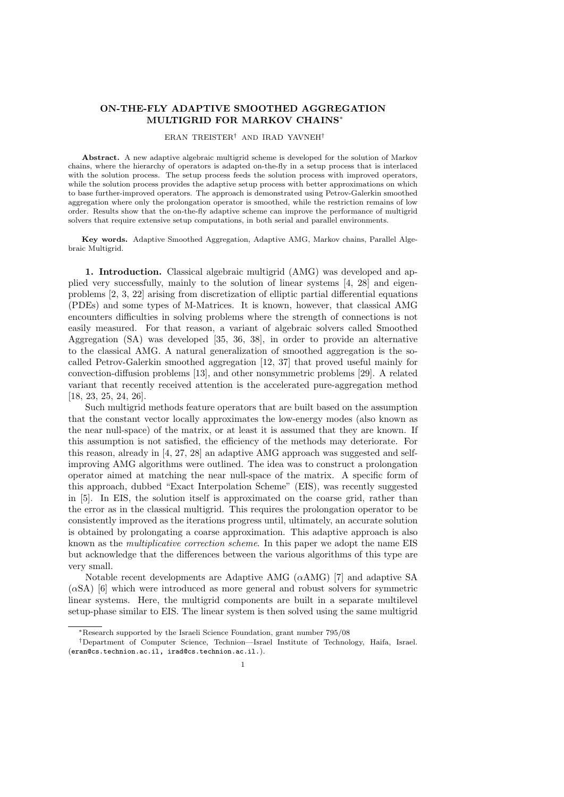# **ON-THE-FLY ADAPTIVE SMOOTHED AGGREGATION MULTIGRID FOR MARKOV CHAINS***<sup>∗</sup>*

#### ERAN TREISTER*†* AND IRAD YAVNEH*†*

**Abstract.** A new adaptive algebraic multigrid scheme is developed for the solution of Markov chains, where the hierarchy of operators is adapted on-the-fly in a setup process that is interlaced with the solution process. The setup process feeds the solution process with improved operators, while the solution process provides the adaptive setup process with better approximations on which to base further-improved operators. The approach is demonstrated using Petrov-Galerkin smoothed aggregation where only the prolongation operator is smoothed, while the restriction remains of low order. Results show that the on-the-fly adaptive scheme can improve the performance of multigrid solvers that require extensive setup computations, in both serial and parallel environments.

**Key words.** Adaptive Smoothed Aggregation, Adaptive AMG, Markov chains, Parallel Algebraic Multigrid.

**1. Introduction.** Classical algebraic multigrid (AMG) was developed and applied very successfully, mainly to the solution of linear systems [4, 28] and eigenproblems [2, 3, 22] arising from discretization of elliptic partial differential equations (PDEs) and some types of M-Matrices. It is known, however, that classical AMG encounters difficulties in solving problems where the strength of connections is not easily measured. For that reason, a variant of algebraic solvers called Smoothed Aggregation (SA) was developed [35, 36, 38], in order to provide an alternative to the classical AMG. A natural generalization of smoothed aggregation is the socalled Petrov-Galerkin smoothed aggregation [12, 37] that proved useful mainly for convection-diffusion problems [13], and other nonsymmetric problems [29]. A related variant that recently received attention is the accelerated pure-aggregation method [18, 23, 25, 24, 26].

Such multigrid methods feature operators that are built based on the assumption that the constant vector locally approximates the low-energy modes (also known as the near null-space) of the matrix, or at least it is assumed that they are known. If this assumption is not satisfied, the efficiency of the methods may deteriorate. For this reason, already in [4, 27, 28] an adaptive AMG approach was suggested and selfimproving AMG algorithms were outlined. The idea was to construct a prolongation operator aimed at matching the near null-space of the matrix. A specific form of this approach, dubbed "Exact Interpolation Scheme" (EIS), was recently suggested in [5]. In EIS, the solution itself is approximated on the coarse grid, rather than the error as in the classical multigrid. This requires the prolongation operator to be consistently improved as the iterations progress until, ultimately, an accurate solution is obtained by prolongating a coarse approximation. This adaptive approach is also known as the *multiplicative correction scheme*. In this paper we adopt the name EIS but acknowledge that the differences between the various algorithms of this type are very small.

Notable recent developments are Adaptive AMG (*α*AMG) [7] and adaptive SA (*α*SA) [6] which were introduced as more general and robust solvers for symmetric linear systems. Here, the multigrid components are built in a separate multilevel setup-phase similar to EIS. The linear system is then solved using the same multigrid

*<sup>∗</sup>*Research supported by the Israeli Science Foundation, grant number 795/08

*<sup>†</sup>*Department of Computer Science, Technion—Israel Institute of Technology, Haifa, Israel. (eran@cs.technion.ac.il, irad@cs.technion.ac.il.).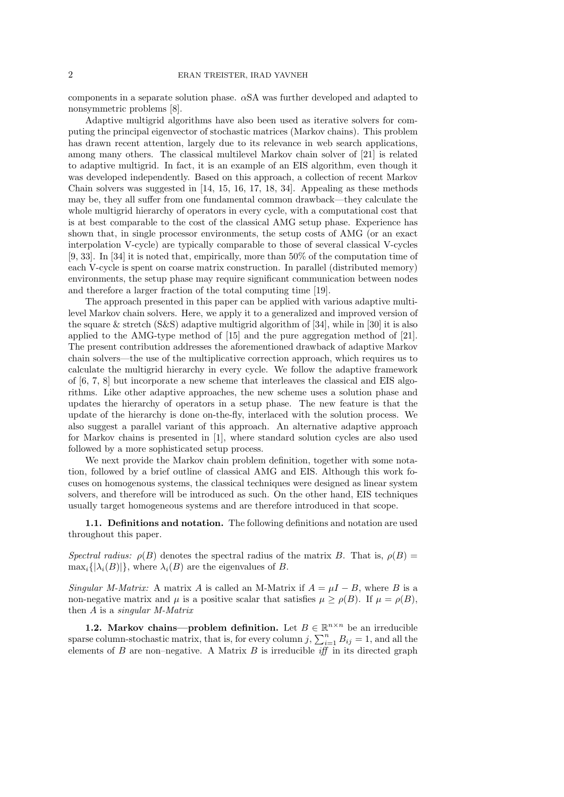components in a separate solution phase. *α*SA was further developed and adapted to nonsymmetric problems [8].

Adaptive multigrid algorithms have also been used as iterative solvers for computing the principal eigenvector of stochastic matrices (Markov chains). This problem has drawn recent attention, largely due to its relevance in web search applications, among many others. The classical multilevel Markov chain solver of [21] is related to adaptive multigrid. In fact, it is an example of an EIS algorithm, even though it was developed independently. Based on this approach, a collection of recent Markov Chain solvers was suggested in [14, 15, 16, 17, 18, 34]. Appealing as these methods may be, they all suffer from one fundamental common drawback—they calculate the whole multigrid hierarchy of operators in every cycle, with a computational cost that is at best comparable to the cost of the classical AMG setup phase. Experience has shown that, in single processor environments, the setup costs of AMG (or an exact interpolation V-cycle) are typically comparable to those of several classical V-cycles [9, 33]. In [34] it is noted that, empirically, more than 50% of the computation time of each V-cycle is spent on coarse matrix construction. In parallel (distributed memory) environments, the setup phase may require significant communication between nodes and therefore a larger fraction of the total computing time [19].

The approach presented in this paper can be applied with various adaptive multilevel Markov chain solvers. Here, we apply it to a generalized and improved version of the square & stretch  $(S\&S)$  adaptive multigrid algorithm of [34], while in [30] it is also applied to the AMG-type method of [15] and the pure aggregation method of [21]. The present contribution addresses the aforementioned drawback of adaptive Markov chain solvers—the use of the multiplicative correction approach, which requires us to calculate the multigrid hierarchy in every cycle. We follow the adaptive framework of [6, 7, 8] but incorporate a new scheme that interleaves the classical and EIS algorithms. Like other adaptive approaches, the new scheme uses a solution phase and updates the hierarchy of operators in a setup phase. The new feature is that the update of the hierarchy is done on-the-fly, interlaced with the solution process. We also suggest a parallel variant of this approach. An alternative adaptive approach for Markov chains is presented in [1], where standard solution cycles are also used followed by a more sophisticated setup process.

We next provide the Markov chain problem definition, together with some notation, followed by a brief outline of classical AMG and EIS. Although this work focuses on homogenous systems, the classical techniques were designed as linear system solvers, and therefore will be introduced as such. On the other hand, EIS techniques usually target homogeneous systems and are therefore introduced in that scope.

**1.1. Definitions and notation.** The following definitions and notation are used throughout this paper.

*Spectral radius:*  $\rho(B)$  denotes the spectral radius of the matrix *B*. That is,  $\rho(B)$  =  $\max_i \{|\lambda_i(B)|\}$ , where  $\lambda_i(B)$  are the eigenvalues of *B*.

*Singular M-Matrix:* A matrix *A* is called an M-Matrix if  $A = \mu I - B$ , where *B* is a non-negative matrix and  $\mu$  is a positive scalar that satisfies  $\mu \ge \rho(B)$ . If  $\mu = \rho(B)$ , then *A* is a *singular M-Matrix*

**1.2. Markov chains—problem definition.** Let  $B \in \mathbb{R}^{n \times n}$  be an irreducible sparse column-stochastic matrix, that is, for every column *j*,  $\sum_{i=1}^{n} B_{ij} = 1$ , and all the elements of *B* are non–negative. A Matrix *B* is irreducible *iff* in its directed graph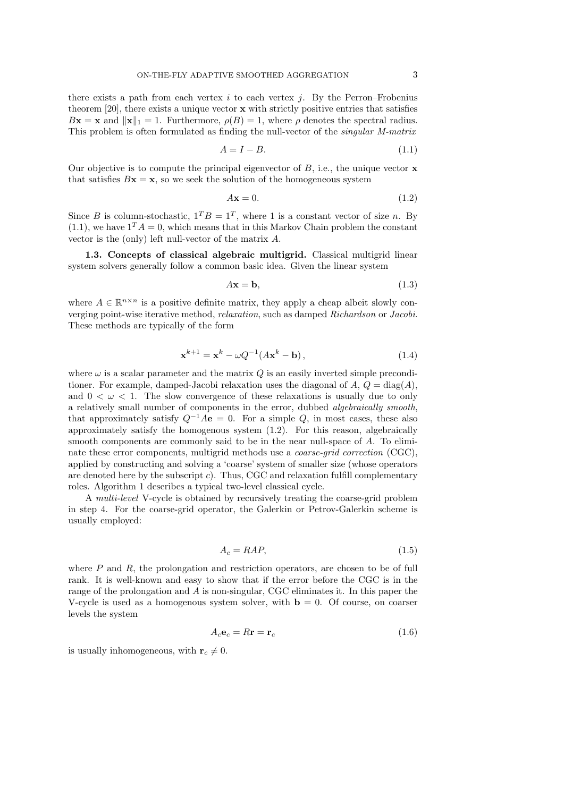there exists a path from each vertex *i* to each vertex *j*. By the Perron–Frobenius theorem [20], there exists a unique vector **x** with strictly positive entries that satisfies  $B$ **x** = **x** and  $||\mathbf{x}||_1 = 1$ . Furthermore,  $\rho(B) = 1$ , where  $\rho$  denotes the spectral radius. This problem is often formulated as finding the null-vector of the *singular M-matrix*

$$
A = I - B.\t\t(1.1)
$$

Our objective is to compute the principal eigenvector of *B*, i.e., the unique vector **x** that satisfies  $Bx = x$ , so we seek the solution of the homogeneous system

$$
A\mathbf{x} = 0.\tag{1.2}
$$

Since *B* is column-stochastic,  $1^T B = 1^T$ , where 1 is a constant vector of size *n*. By  $(1.1)$ , we have  $1^T A = 0$ , which means that in this Markov Chain problem the constant vector is the (only) left null-vector of the matrix *A*.

**1.3. Concepts of classical algebraic multigrid.** Classical multigrid linear system solvers generally follow a common basic idea. Given the linear system

$$
A\mathbf{x} = \mathbf{b},\tag{1.3}
$$

where  $A \in \mathbb{R}^{n \times n}$  is a positive definite matrix, they apply a cheap albeit slowly converging point-wise iterative method, *relaxation*, such as damped *Richardson* or *Jacobi*. These methods are typically of the form

$$
\mathbf{x}^{k+1} = \mathbf{x}^k - \omega Q^{-1} (A\mathbf{x}^k - \mathbf{b}),
$$
\n(1.4)

where  $\omega$  is a scalar parameter and the matrix  $Q$  is an easily inverted simple preconditioner. For example, damped-Jacobi relaxation uses the diagonal of  $A, Q = \text{diag}(A),$ and  $0 < \omega < 1$ . The slow convergence of these relaxations is usually due to only a relatively small number of components in the error, dubbed *algebraically smooth*, that approximately satisfy  $Q^{-1}A\mathbf{e} = 0$ . For a simple  $Q$ , in most cases, these also approximately satisfy the homogenous system (1.2). For this reason, algebraically smooth components are commonly said to be in the near null-space of *A*. To eliminate these error components, multigrid methods use a *coarse-grid correction* (CGC), applied by constructing and solving a 'coarse' system of smaller size (whose operators are denoted here by the subscript *c*). Thus, CGC and relaxation fulfill complementary roles. Algorithm 1 describes a typical two-level classical cycle.

A *multi-level* V-cycle is obtained by recursively treating the coarse-grid problem in step 4. For the coarse-grid operator, the Galerkin or Petrov-Galerkin scheme is usually employed:

$$
A_c = RAP,\t\t(1.5)
$$

where *P* and *R*, the prolongation and restriction operators, are chosen to be of full rank. It is well-known and easy to show that if the error before the CGC is in the range of the prolongation and *A* is non-singular, CGC eliminates it. In this paper the V-cycle is used as a homogenous system solver, with  $\mathbf{b} = 0$ . Of course, on coarser levels the system

$$
A_c \mathbf{e}_c = R \mathbf{r} = \mathbf{r}_c \tag{1.6}
$$

is usually inhomogeneous, with  $\mathbf{r}_c \neq 0$ .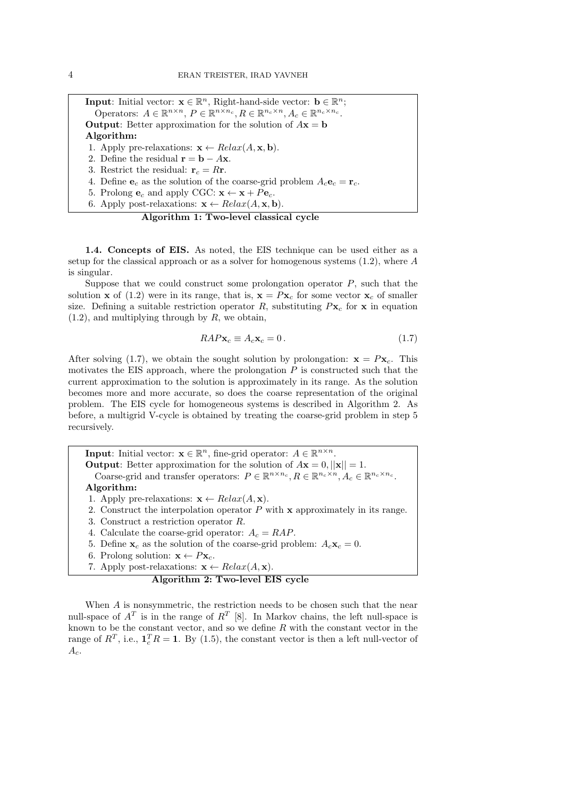**Input**: Initial vector:  $\mathbf{x} \in \mathbb{R}^n$ , Right-hand-side vector:  $\mathbf{b} \in \mathbb{R}^n$ ; Operators:  $A \in \mathbb{R}^{n \times n}$ ,  $P \in \mathbb{R}^{n \times n_c}$ ,  $R \in \mathbb{R}^{n_c \times n}$ ,  $A_c \in \mathbb{R}^{n_c \times n_c}$ . **Output**: Better approximation for the solution of  $A$ **x** = **b Algorithm:** 1. Apply pre-relaxations:  $\mathbf{x} \leftarrow Relax(A, \mathbf{x}, \mathbf{b})$ . 2. Define the residual  $\mathbf{r} = \mathbf{b} - A\mathbf{x}$ . 3. Restrict the residual:  $\mathbf{r}_c = R\mathbf{r}$ . 4. Define  $\mathbf{e}_c$  as the solution of the coarse-grid problem  $A_c \mathbf{e}_c = \mathbf{r}_c$ . 5. Prolong  $\mathbf{e}_c$  and apply CGC:  $\mathbf{x} \leftarrow \mathbf{x} + P\mathbf{e}_c$ .

6. Apply post-relaxations:  $\mathbf{x} \leftarrow Relax(A, \mathbf{x}, \mathbf{b}).$ 

### **Algorithm 1: Two-level classical cycle**

**1.4. Concepts of EIS.** As noted, the EIS technique can be used either as a setup for the classical approach or as a solver for homogenous systems (1.2), where *A* is singular.

Suppose that we could construct some prolongation operator *P*, such that the solution **x** of (1.2) were in its range, that is,  $\mathbf{x} = P\mathbf{x}_c$  for some vector  $\mathbf{x}_c$  of smaller size. Defining a suitable restriction operator *R*, substituting  $P$ **x**<sub>*c*</sub> for **x** in equation (1.2), and multiplying through by *R*, we obtain,

$$
RAP\mathbf{x}_c \equiv A_c \mathbf{x}_c = 0. \tag{1.7}
$$

After solving (1.7), we obtain the sought solution by prolongation:  $\mathbf{x} = P\mathbf{x}_c$ . This motivates the EIS approach, where the prolongation *P* is constructed such that the current approximation to the solution is approximately in its range. As the solution becomes more and more accurate, so does the coarse representation of the original problem. The EIS cycle for homogeneous systems is described in Algorithm 2. As before, a multigrid V-cycle is obtained by treating the coarse-grid problem in step 5 recursively.

**Input**: Initial vector:  $\mathbf{x} \in \mathbb{R}^n$ , fine-grid operator:  $A \in \mathbb{R}^{n \times n}$ . **Output:** Better approximation for the solution of  $A$ **x** = 0*,*  $||$ **x** $||$  = 1*.* Coarse-grid and transfer operators:  $P \in \mathbb{R}^{n \times n_c}, R \in \mathbb{R}^{n_c \times n}, A_c \in \mathbb{R}^{n_c \times n_c}$ . **Algorithm:**

- 1. Apply pre-relaxations:  $\mathbf{x} \leftarrow Relax(A, \mathbf{x})$ .
- 2. Construct the interpolation operator *P* with **x** approximately in its range.
- 3. Construct a restriction operator *R*.
- 4. Calculate the coarse-grid operator:  $A_c = RAP$ .
- 5. Define  $\mathbf{x}_c$  as the solution of the coarse-grid problem:  $A_c \mathbf{x}_c = 0$ .
- 6. Prolong solution:  $\mathbf{x} \leftarrow P\mathbf{x}_c$ .
- 7. Apply post-relaxations:  $\mathbf{x} \leftarrow Relax(A, \mathbf{x})$ .

**Algorithm 2: Two-level EIS cycle**

When *A* is nonsymmetric, the restriction needs to be chosen such that the near null-space of  $A<sup>T</sup>$  is in the range of  $R<sup>T</sup>$  [8]. In Markov chains, the left null-space is known to be the constant vector, and so we define *R* with the constant vector in the range of  $R^T$ , i.e.,  $\mathbf{1}_c^T R = 1$ . By (1.5), the constant vector is then a left null-vector of *Ac*.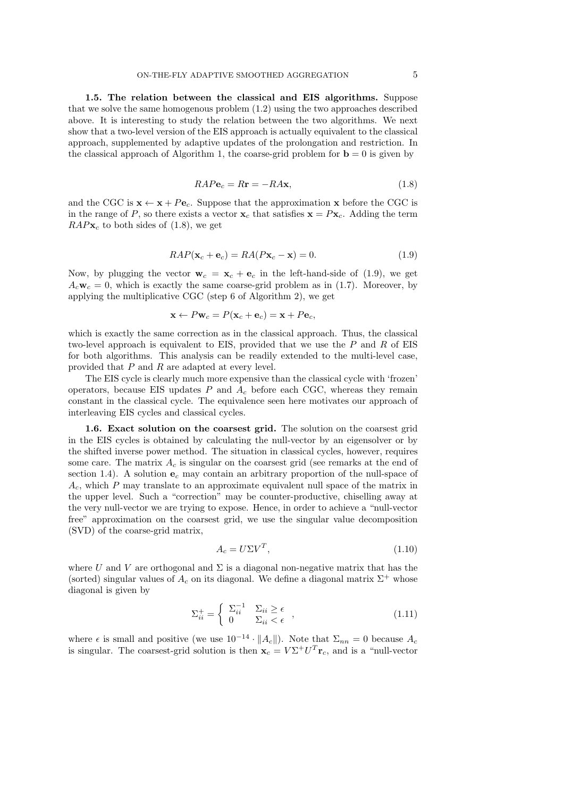**1.5. The relation between the classical and EIS algorithms.** Suppose that we solve the same homogenous problem (1.2) using the two approaches described above. It is interesting to study the relation between the two algorithms. We next show that a two-level version of the EIS approach is actually equivalent to the classical approach, supplemented by adaptive updates of the prolongation and restriction. In the classical approach of Algorithm 1, the coarse-grid problem for  $\mathbf{b} = 0$  is given by

$$
RAP\mathbf{e}_c = R\mathbf{r} = -RA\mathbf{x},\tag{1.8}
$$

and the CGC is  $\mathbf{x} \leftarrow \mathbf{x} + Pe_c$ . Suppose that the approximation **x** before the CGC is in the range of *P*, so there exists a vector  $\mathbf{x}_c$  that satisfies  $\mathbf{x} = P\mathbf{x}_c$ . Adding the term  $RAP**x**<sub>c</sub>$  to both sides of (1.8), we get

$$
RAP(\mathbf{x}_c + \mathbf{e}_c) = RA(P\mathbf{x}_c - \mathbf{x}) = 0.
$$
\n(1.9)

Now, by plugging the vector  $\mathbf{w}_c = \mathbf{x}_c + \mathbf{e}_c$  in the left-hand-side of (1.9), we get  $A_c\mathbf{w}_c = 0$ , which is exactly the same coarse-grid problem as in (1.7). Moreover, by applying the multiplicative CGC (step 6 of Algorithm 2), we get

$$
\mathbf{x} \leftarrow P \mathbf{w}_c = P(\mathbf{x}_c + \mathbf{e}_c) = \mathbf{x} + P \mathbf{e}_c,
$$

which is exactly the same correction as in the classical approach. Thus, the classical two-level approach is equivalent to EIS, provided that we use the *P* and *R* of EIS for both algorithms. This analysis can be readily extended to the multi-level case, provided that *P* and *R* are adapted at every level.

The EIS cycle is clearly much more expensive than the classical cycle with 'frozen' operators, because EIS updates  $P$  and  $A_c$  before each CGC, whereas they remain constant in the classical cycle. The equivalence seen here motivates our approach of interleaving EIS cycles and classical cycles.

**1.6. Exact solution on the coarsest grid.** The solution on the coarsest grid in the EIS cycles is obtained by calculating the null-vector by an eigensolver or by the shifted inverse power method. The situation in classical cycles, however, requires some care. The matrix  $A_c$  is singular on the coarsest grid (see remarks at the end of section 1.4). A solution **e***<sup>c</sup>* may contain an arbitrary proportion of the null-space of *Ac*, which *P* may translate to an approximate equivalent null space of the matrix in the upper level. Such a "correction" may be counter-productive, chiselling away at the very null-vector we are trying to expose. Hence, in order to achieve a "null-vector free" approximation on the coarsest grid, we use the singular value decomposition (SVD) of the coarse-grid matrix,

$$
A_c = U\Sigma V^T,\t\t(1.10)
$$

where *U* and *V* are orthogonal and  $\Sigma$  is a diagonal non-negative matrix that has the (sorted) singular values of  $A_c$  on its diagonal. We define a diagonal matrix  $\Sigma^+$  whose diagonal is given by

$$
\Sigma_{ii}^{+} = \begin{cases} \ \Sigma_{ii}^{-1} & \Sigma_{ii} \ge \epsilon \\ 0 & \Sigma_{ii} < \epsilon \end{cases} \tag{1.11}
$$

where  $\epsilon$  is small and positive (we use  $10^{-14} \cdot ||A_c||$ ). Note that  $\Sigma_{nn} = 0$  because  $A_c$ is singular. The coarsest-grid solution is then  $\mathbf{x}_c = V \Sigma^+ U^T \mathbf{r}_c$ , and is a "null-vector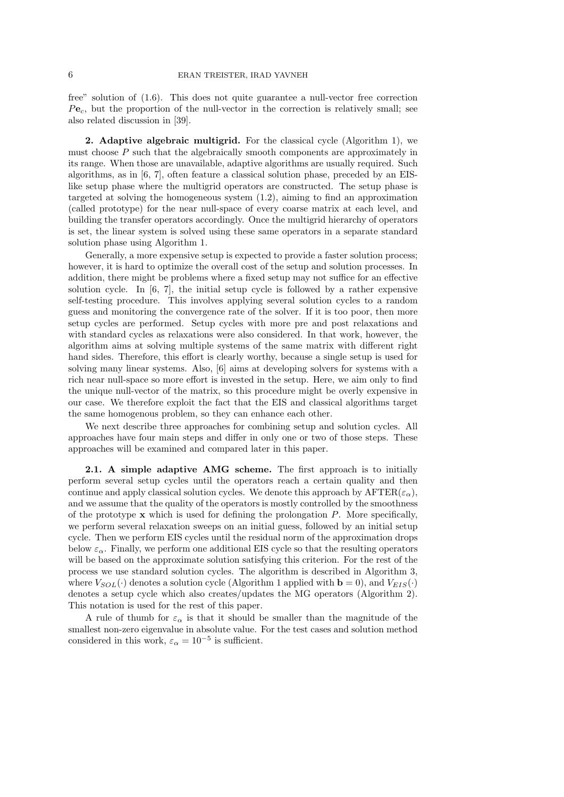free" solution of (1.6). This does not quite guarantee a null-vector free correction *P***e***c*, but the proportion of the null-vector in the correction is relatively small; see also related discussion in [39].

**2. Adaptive algebraic multigrid.** For the classical cycle (Algorithm 1), we must choose *P* such that the algebraically smooth components are approximately in its range. When those are unavailable, adaptive algorithms are usually required. Such algorithms, as in [6, 7], often feature a classical solution phase, preceded by an EISlike setup phase where the multigrid operators are constructed. The setup phase is targeted at solving the homogeneous system (1.2), aiming to find an approximation (called prototype) for the near null-space of every coarse matrix at each level, and building the transfer operators accordingly. Once the multigrid hierarchy of operators is set, the linear system is solved using these same operators in a separate standard solution phase using Algorithm 1.

Generally, a more expensive setup is expected to provide a faster solution process; however, it is hard to optimize the overall cost of the setup and solution processes. In addition, there might be problems where a fixed setup may not suffice for an effective solution cycle. In [6, 7], the initial setup cycle is followed by a rather expensive self-testing procedure. This involves applying several solution cycles to a random guess and monitoring the convergence rate of the solver. If it is too poor, then more setup cycles are performed. Setup cycles with more pre and post relaxations and with standard cycles as relaxations were also considered. In that work, however, the algorithm aims at solving multiple systems of the same matrix with different right hand sides. Therefore, this effort is clearly worthy, because a single setup is used for solving many linear systems. Also, [6] aims at developing solvers for systems with a rich near null-space so more effort is invested in the setup. Here, we aim only to find the unique null-vector of the matrix, so this procedure might be overly expensive in our case. We therefore exploit the fact that the EIS and classical algorithms target the same homogenous problem, so they can enhance each other.

We next describe three approaches for combining setup and solution cycles. All approaches have four main steps and differ in only one or two of those steps. These approaches will be examined and compared later in this paper.

**2.1. A simple adaptive AMG scheme.** The first approach is to initially perform several setup cycles until the operators reach a certain quality and then continue and apply classical solution cycles. We denote this approach by  $\text{AFTER}(\varepsilon_{\alpha})$ , and we assume that the quality of the operators is mostly controlled by the smoothness of the prototype **x** which is used for defining the prolongation *P*. More specifically, we perform several relaxation sweeps on an initial guess, followed by an initial setup cycle. Then we perform EIS cycles until the residual norm of the approximation drops below  $\varepsilon_{\alpha}$ . Finally, we perform one additional EIS cycle so that the resulting operators will be based on the approximate solution satisfying this criterion. For the rest of the process we use standard solution cycles. The algorithm is described in Algorithm 3, where  $V_{SOL}(\cdot)$  denotes a solution cycle (Algorithm 1 applied with  $\mathbf{b} = 0$ ), and  $V_{EIS}(\cdot)$ denotes a setup cycle which also creates/updates the MG operators (Algorithm 2). This notation is used for the rest of this paper.

A rule of thumb for  $\varepsilon_{\alpha}$  is that it should be smaller than the magnitude of the smallest non-zero eigenvalue in absolute value. For the test cases and solution method considered in this work,  $\varepsilon_{\alpha} = 10^{-5}$  is sufficient.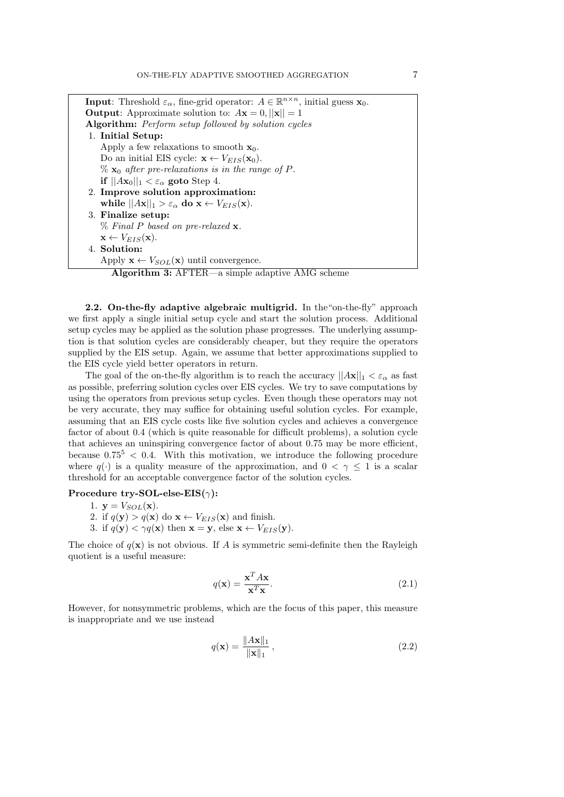**Input**: Threshold  $\varepsilon_{\alpha}$ , fine-grid operator:  $A \in \mathbb{R}^{n \times n}$ , initial guess **x**<sub>0</sub>. **Output:** Approximate solution to:  $A\mathbf{x} = 0$ ,  $||\mathbf{x}|| = 1$ **Algorithm:** *Perform setup followed by solution cycles* 1. **Initial Setup:** Apply a few relaxations to smooth  $\mathbf{x}_0$ . Do an initial EIS cycle:  $\mathbf{x} \leftarrow V_{EIS}(\mathbf{x}_0)$ .  $\%$  **x**<sub>0</sub> *after pre-relaxations is in the range of P.* **if**  $||Ax_0||_1 < \varepsilon_\alpha$  goto Step 4. 2. **Improve solution approximation: while**  $||Ax||_1 > \varepsilon_\alpha$  **do**  $\mathbf{x} \leftarrow V_{EIS}(\mathbf{x})$ . 3. **Finalize setup:** % *Final P based on pre-relaxed* **x***.*  $\mathbf{x} \leftarrow V_{EIS}(\mathbf{x}).$ 4. **Solution:** Apply  $\mathbf{x} \leftarrow V_{SOL}(\mathbf{x})$  until convergence.

**Algorithm 3:** AFTER—a simple adaptive AMG scheme

**2.2. On-the-fly adaptive algebraic multigrid.** In the "on-the-fly" approach we first apply a single initial setup cycle and start the solution process. Additional setup cycles may be applied as the solution phase progresses. The underlying assumption is that solution cycles are considerably cheaper, but they require the operators supplied by the EIS setup. Again, we assume that better approximations supplied to the EIS cycle yield better operators in return.

The goal of the on-the-fly algorithm is to reach the accuracy  $||Ax||_1 < \varepsilon_\alpha$  as fast as possible, preferring solution cycles over EIS cycles. We try to save computations by using the operators from previous setup cycles. Even though these operators may not be very accurate, they may suffice for obtaining useful solution cycles. For example, assuming that an EIS cycle costs like five solution cycles and achieves a convergence factor of about 0.4 (which is quite reasonable for difficult problems), a solution cycle that achieves an uninspiring convergence factor of about 0.75 may be more efficient, because  $0.75^5 < 0.4$ . With this motivation, we introduce the following procedure where  $q(\cdot)$  is a quality measure of the approximation, and  $0 < \gamma \leq 1$  is a scalar threshold for an acceptable convergence factor of the solution cycles.

### **Procedure try-SOL-else-EIS(***γ***):**

- 1.  $\mathbf{y} = V_{SOL}(\mathbf{x})$ .
- 2. if  $q(\mathbf{y}) > q(\mathbf{x})$  do  $\mathbf{x} \leftarrow V_{EIS}(\mathbf{x})$  and finish.
- 3. if  $q(\mathbf{y}) < \gamma q(\mathbf{x})$  then  $\mathbf{x} = \mathbf{y}$ , else  $\mathbf{x} \leftarrow V_{EIS}(\mathbf{y})$ .

The choice of  $q(\mathbf{x})$  is not obvious. If *A* is symmetric semi-definite then the Rayleigh quotient is a useful measure:

$$
q(\mathbf{x}) = \frac{\mathbf{x}^T A \mathbf{x}}{\mathbf{x}^T \mathbf{x}}.
$$
 (2.1)

However, for nonsymmetric problems, which are the focus of this paper, this measure is inappropriate and we use instead

$$
q(\mathbf{x}) = \frac{\|A\mathbf{x}\|_1}{\|\mathbf{x}\|_1},
$$
\n(2.2)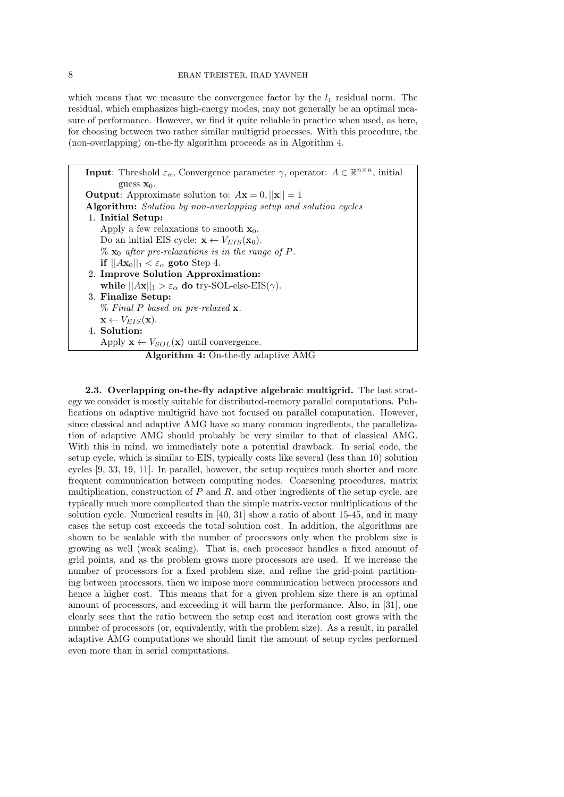which means that we measure the convergence factor by the  $l_1$  residual norm. The residual, which emphasizes high-energy modes, may not generally be an optimal measure of performance. However, we find it quite reliable in practice when used, as here, for choosing between two rather similar multigrid processes. With this procedure, the (non-overlapping) on-the-fly algorithm proceeds as in Algorithm 4.

**Input**: Threshold  $\varepsilon_{\alpha}$ , Convergence parameter  $\gamma$ , operator:  $A \in \mathbb{R}^{n \times n}$ , initial guess **x**0. **Output:** Approximate solution to:  $A\mathbf{x} = 0$ ,  $||\mathbf{x}|| = 1$ **Algorithm:** *Solution by non-overlapping setup and solution cycles* 1. **Initial Setup:** Apply a few relaxations to smooth  $\mathbf{x}_0$ . Do an initial EIS cycle:  $\mathbf{x} \leftarrow V_{EIS}(\mathbf{x}_0)$ .  $\%$  **x**<sub>0</sub> *after pre-relaxations is in the range of P.* **if**  $||Ax_0||_1 < \varepsilon_\alpha$  goto Step 4. 2. **Improve Solution Approximation: while**  $||Ax||_1 > \varepsilon_\alpha$  **do** try-SOL-else-EIS( $\gamma$ ). 3. **Finalize Setup:** % *Final P based on pre-relaxed* **x***.*  $\mathbf{x} \leftarrow V_{EIS}(\mathbf{x}).$ 4. **Solution:** Apply  $\mathbf{x} \leftarrow V_{SOL}(\mathbf{x})$  until convergence. **Algorithm 4:** On-the-fly adaptive AMG

**2.3. Overlapping on-the-fly adaptive algebraic multigrid.** The last strategy we consider is mostly suitable for distributed-memory parallel computations. Publications on adaptive multigrid have not focused on parallel computation. However, since classical and adaptive AMG have so many common ingredients, the parallelization of adaptive AMG should probably be very similar to that of classical AMG. With this in mind, we immediately note a potential drawback. In serial code, the setup cycle, which is similar to EIS, typically costs like several (less than 10) solution cycles [9, 33, 19, 11]. In parallel, however, the setup requires much shorter and more frequent communication between computing nodes. Coarsening procedures, matrix multiplication, construction of *P* and *R*, and other ingredients of the setup cycle, are typically much more complicated than the simple matrix-vector multiplications of the solution cycle. Numerical results in [40, 31] show a ratio of about 15-45, and in many cases the setup cost exceeds the total solution cost. In addition, the algorithms are shown to be scalable with the number of processors only when the problem size is growing as well (weak scaling). That is, each processor handles a fixed amount of grid points, and as the problem grows more processors are used. If we increase the number of processors for a fixed problem size, and refine the grid-point partitioning between processors, then we impose more communication between processors and hence a higher cost. This means that for a given problem size there is an optimal amount of processors, and exceeding it will harm the performance. Also, in [31], one clearly sees that the ratio between the setup cost and iteration cost grows with the number of processors (or, equivalently, with the problem size). As a result, in parallel adaptive AMG computations we should limit the amount of setup cycles performed even more than in serial computations.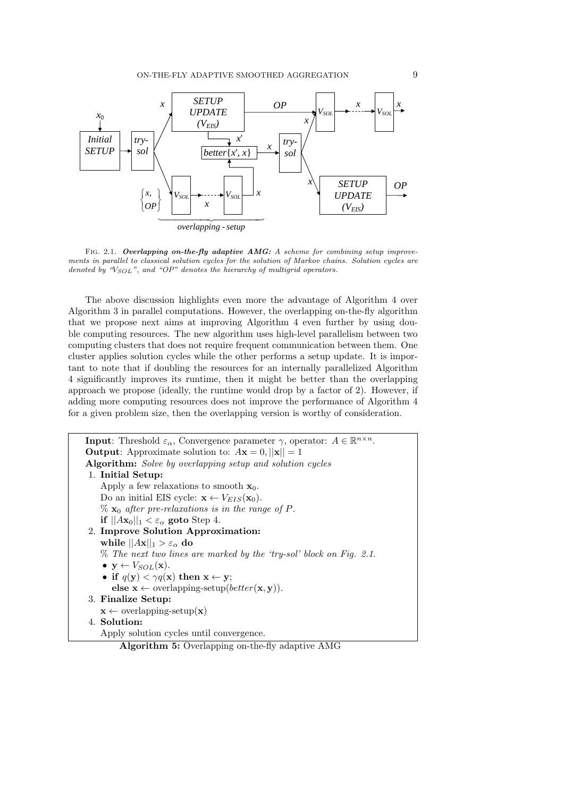

Fig. 2.1. *Overlapping on-the-fly adaptive AMG: A scheme for combining setup improvements in parallel to classical solution cycles for the solution of Markov chains. Solution cycles are denoted by "VSOL", and "OP" denotes the hierarchy of multigrid operators.*

The above discussion highlights even more the advantage of Algorithm 4 over Algorithm 3 in parallel computations. However, the overlapping on-the-fly algorithm that we propose next aims at improving Algorithm 4 even further by using double computing resources. The new algorithm uses high-level parallelism between two computing clusters that does not require frequent communication between them. One cluster applies solution cycles while the other performs a setup update. It is important to note that if doubling the resources for an internally parallelized Algorithm 4 significantly improves its runtime, then it might be better than the overlapping approach we propose (ideally, the runtime would drop by a factor of 2). However, if adding more computing resources does not improve the performance of Algorithm 4 for a given problem size, then the overlapping version is worthy of consideration.

**Input**: Threshold  $\varepsilon_{\alpha}$ , Convergence parameter  $\gamma$ , operator:  $A \in \mathbb{R}^{n \times n}$ . **Output:** Approximate solution to:  $A$ **x** = 0*,*  $||$ **x** $||$  = 1 **Algorithm:** *Solve by overlapping setup and solution cycles* 1. **Initial Setup:** Apply a few relaxations to smooth **x**0. Do an initial EIS cycle:  $\mathbf{x} \leftarrow V_{EIS}(\mathbf{x}_0)$ . %  $\mathbf{x}_0$  *after pre-relaxations is in the range of*  $P$ *.* **if**  $||Ax_0||_1 < \varepsilon_\alpha$  goto Step 4. 2. **Improve Solution Approximation: while**  $||Ax||_1 > \varepsilon_\alpha$  **do** % *The next two lines are marked by the 'try-sol' block on Fig. 2.1*. •  $\mathbf{y} \leftarrow V_{SOL}(\mathbf{x}).$ • **if**  $q(y) < \gamma q(x)$  **then**  $x \leftarrow y$ ;  $\mathbf{else } \mathbf{x} \leftarrow \text{overlapping-setup}(better(\mathbf{x}, \mathbf{y})).$ 3. **Finalize Setup:**  $\mathbf{x} \leftarrow$  overlapping-setup $(\mathbf{x})$ 4. **Solution:** Apply solution cycles until convergence.

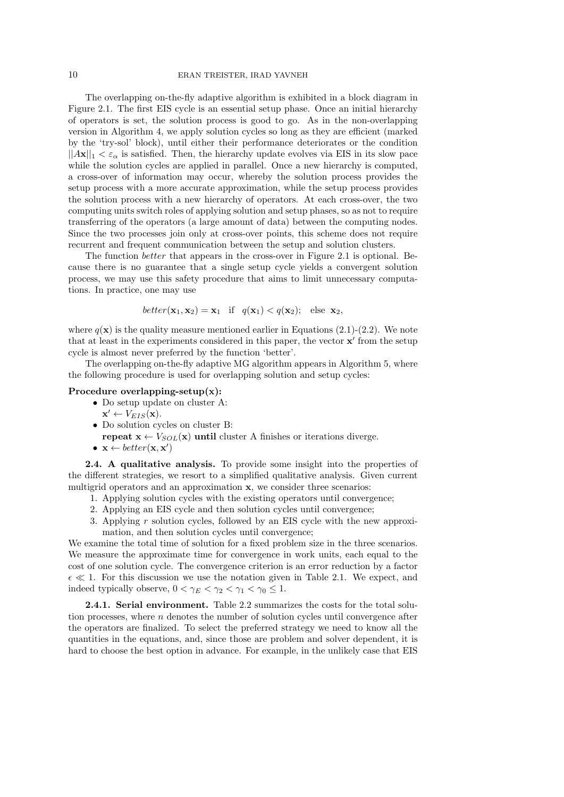The overlapping on-the-fly adaptive algorithm is exhibited in a block diagram in Figure 2.1. The first EIS cycle is an essential setup phase. Once an initial hierarchy of operators is set, the solution process is good to go. As in the non-overlapping version in Algorithm 4, we apply solution cycles so long as they are efficient (marked by the 'try-sol' block), until either their performance deteriorates or the condition  $||Ax||_1 < \varepsilon_\alpha$  is satisfied. Then, the hierarchy update evolves via EIS in its slow pace while the solution cycles are applied in parallel. Once a new hierarchy is computed, a cross-over of information may occur, whereby the solution process provides the setup process with a more accurate approximation, while the setup process provides the solution process with a new hierarchy of operators. At each cross-over, the two computing units switch roles of applying solution and setup phases, so as not to require transferring of the operators (a large amount of data) between the computing nodes. Since the two processes join only at cross-over points, this scheme does not require recurrent and frequent communication between the setup and solution clusters.

The function *better* that appears in the cross-over in Figure 2.1 is optional. Because there is no guarantee that a single setup cycle yields a convergent solution process, we may use this safety procedure that aims to limit unnecessary computations. In practice, one may use

$$
better(\mathbf{x}_1, \mathbf{x}_2) = \mathbf{x}_1 \quad \text{if} \quad q(\mathbf{x}_1) < q(\mathbf{x}_2); \quad \text{else } \mathbf{x}_2,
$$

where  $q(\mathbf{x})$  is the quality measure mentioned earlier in Equations (2.1)-(2.2). We note that at least in the experiments considered in this paper, the vector **x'** from the setup cycle is almost never preferred by the function 'better'.

The overlapping on-the-fly adaptive MG algorithm appears in Algorithm 5, where the following procedure is used for overlapping solution and setup cycles:

#### **Procedure overlapping-setup(x):**

• Do setup update on cluster A:

$$
\mathbf{x}' \leftarrow V_{EIS}(\mathbf{x}).
$$

- *•* Do solution cycles on cluster B:
- **repeat**  $\mathbf{x} \leftarrow V_{SOL}(\mathbf{x})$  **<b>until** cluster A finishes or iterations diverge.
- $\mathbf{x} \leftarrow better(\mathbf{x}, \mathbf{x}')$

**2.4. A qualitative analysis.** To provide some insight into the properties of the different strategies, we resort to a simplified qualitative analysis. Given current multigrid operators and an approximation **x**, we consider three scenarios:

- 1. Applying solution cycles with the existing operators until convergence;
- 2. Applying an EIS cycle and then solution cycles until convergence;
- 3. Applying *r* solution cycles, followed by an EIS cycle with the new approximation, and then solution cycles until convergence;

We examine the total time of solution for a fixed problem size in the three scenarios. We measure the approximate time for convergence in work units, each equal to the cost of one solution cycle. The convergence criterion is an error reduction by a factor *ϵ ≪* 1. For this discussion we use the notation given in Table 2.1. We expect, and indeed typically observe,  $0 < \gamma_E < \gamma_2 < \gamma_1 < \gamma_0 \leq 1$ .

**2.4.1. Serial environment.** Table 2.2 summarizes the costs for the total solution processes, where *n* denotes the number of solution cycles until convergence after the operators are finalized. To select the preferred strategy we need to know all the quantities in the equations, and, since those are problem and solver dependent, it is hard to choose the best option in advance. For example, in the unlikely case that EIS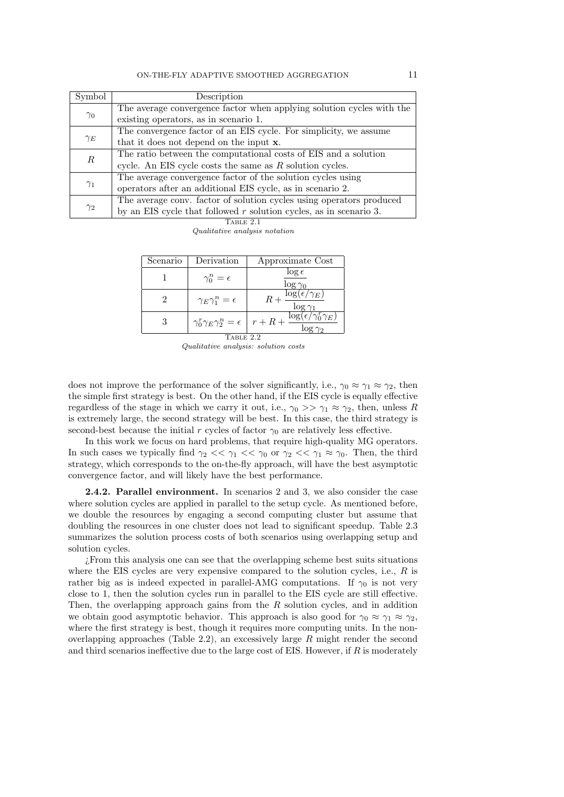| Symbol           | Description                                                           |  |  |  |
|------------------|-----------------------------------------------------------------------|--|--|--|
| $\gamma_0$       | The average convergence factor when applying solution cycles with the |  |  |  |
|                  | existing operators, as in scenario 1.                                 |  |  |  |
|                  | The convergence factor of an EIS cycle. For simplicity, we assume     |  |  |  |
| $\gamma_E$       | that it does not depend on the input <b>x</b> .                       |  |  |  |
| $\boldsymbol{R}$ | The ratio between the computational costs of EIS and a solution       |  |  |  |
|                  | cycle. An EIS cycle costs the same as $R$ solution cycles.            |  |  |  |
| $\gamma_1$       | The average convergence factor of the solution cycles using           |  |  |  |
|                  | operators after an additional EIS cycle, as in scenario 2.            |  |  |  |
| $\gamma_2$       | The average conv. factor of solution cycles using operators produced  |  |  |  |
|                  | by an EIS cycle that followed $r$ solution cycles, as in scenario 3.  |  |  |  |
| Table 2.1        |                                                                       |  |  |  |

*Qualitative analysis notation*

| Scenario  | Derivation                                  | Approximate Cost                                                             |  |  |  |
|-----------|---------------------------------------------|------------------------------------------------------------------------------|--|--|--|
|           | $\gamma_0^n = \epsilon$                     | $\log \epsilon$<br>$\log \gamma_0$                                           |  |  |  |
|           | $\gamma_E \gamma_1^n = \epsilon$            | $\log(\epsilon/\gamma_E)$<br>$R +$                                           |  |  |  |
| 3         | $\gamma_0^r \gamma_E \gamma_2^n = \epsilon$ | $\log(\epsilon/\gamma_0^r \gamma_E)$<br>$r+R+$<br>$\overline{\log \gamma_2}$ |  |  |  |
| TABLE 2.2 |                                             |                                                                              |  |  |  |

*Qualitative analysis: solution costs*

does not improve the performance of the solver significantly, i.e.,  $\gamma_0 \approx \gamma_1 \approx \gamma_2$ , then the simple first strategy is best. On the other hand, if the EIS cycle is equally effective regardless of the stage in which we carry it out, i.e.,  $\gamma_0 \gg \gamma_1 \approx \gamma_2$ , then, unless *R* is extremely large, the second strategy will be best. In this case, the third strategy is second-best because the initial *r* cycles of factor  $\gamma_0$  are relatively less effective.

In this work we focus on hard problems, that require high-quality MG operators. In such cases we typically find  $\gamma_2 \ll \gamma_1 \ll \gamma_0$  or  $\gamma_2 \ll \gamma_1 \approx \gamma_0$ . Then, the third strategy, which corresponds to the on-the-fly approach, will have the best asymptotic convergence factor, and will likely have the best performance.

**2.4.2. Parallel environment.** In scenarios 2 and 3, we also consider the case where solution cycles are applied in parallel to the setup cycle. As mentioned before, we double the resources by engaging a second computing cluster but assume that doubling the resources in one cluster does not lead to significant speedup. Table 2.3 summarizes the solution process costs of both scenarios using overlapping setup and solution cycles.

¿From this analysis one can see that the overlapping scheme best suits situations where the EIS cycles are very expensive compared to the solution cycles, i.e., *R* is rather big as is indeed expected in parallel-AMG computations. If  $\gamma_0$  is not very close to 1, then the solution cycles run in parallel to the EIS cycle are still effective. Then, the overlapping approach gains from the *R* solution cycles, and in addition we obtain good asymptotic behavior. This approach is also good for  $\gamma_0 \approx \gamma_1 \approx \gamma_2$ , where the first strategy is best, though it requires more computing units. In the nonoverlapping approaches (Table 2.2), an excessively large *R* might render the second and third scenarios ineffective due to the large cost of EIS. However, if *R* is moderately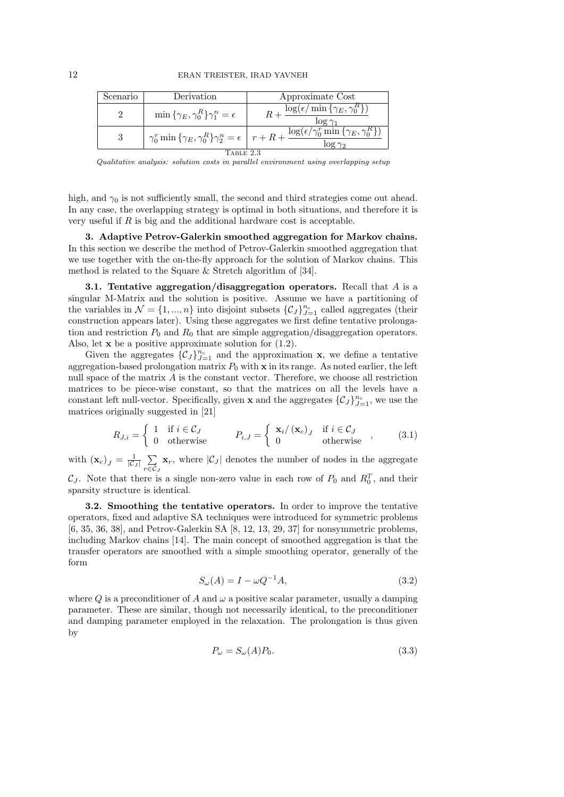| Scenario   | Derivation                                          | Approximate Cost                                                                                                                                                        |  |  |  |
|------------|-----------------------------------------------------|-------------------------------------------------------------------------------------------------------------------------------------------------------------------------|--|--|--|
|            | $\min\{\gamma_E, \gamma_0^R\}\gamma_1^n = \epsilon$ | $\log(\epsilon/\min\left\{\gamma_E, \gamma_0^R\right\})$                                                                                                                |  |  |  |
|            |                                                     | $\gamma_0^r \min \{ \gamma_E, \gamma_0^R \} \gamma_2^n = \epsilon \mid r + R + \frac{\log(\overline{\epsilon / \gamma_0^r \min} \{ \gamma_E, \gamma_0^R \})}{\epsilon}$ |  |  |  |
| l'able 2.3 |                                                     |                                                                                                                                                                         |  |  |  |

*Qualitative analysis: solution costs in parallel environment using overlapping setup*

high, and *γ*<sup>0</sup> is not sufficiently small, the second and third strategies come out ahead. In any case, the overlapping strategy is optimal in both situations, and therefore it is very useful if *R* is big and the additional hardware cost is acceptable.

**3. Adaptive Petrov-Galerkin smoothed aggregation for Markov chains.** In this section we describe the method of Petrov-Galerkin smoothed aggregation that we use together with the on-the-fly approach for the solution of Markov chains. This method is related to the Square & Stretch algorithm of [34].

**3.1. Tentative aggregation/disaggregation operators.** Recall that *A* is a singular M-Matrix and the solution is positive. Assume we have a partitioning of the variables in  $\mathcal{N} = \{1, ..., n\}$  into disjoint subsets  $\{\mathcal{C}_J\}_{J=1}^{n_c}$  called aggregates (their construction appears later). Using these aggregates we first define tentative prolongation and restriction  $P_0$  and  $R_0$  that are simple aggregation/disaggregation operators. Also, let **x** be a positive approximate solution for (1.2).

Given the aggregates  $\{\mathcal{C}_J\}_{J=1}^{n_c}$  and the approximation **x**, we define a tentative aggregation-based prolongation matrix  $P_0$  with **x** in its range. As noted earlier, the left null space of the matrix *A* is the constant vector. Therefore, we choose all restriction matrices to be piece-wise constant, so that the matrices on all the levels have a constant left null-vector. Specifically, given **x** and the aggregates  $\{\mathcal{C}_J\}_{J=1}^{n_c}$ , we use the matrices originally suggested in [21]

$$
R_{J,i} = \begin{cases} 1 & \text{if } i \in \mathcal{C}_J \\ 0 & \text{otherwise} \end{cases} \qquad P_{i,J} = \begin{cases} \mathbf{x}_i / (\mathbf{x}_c)_J & \text{if } i \in \mathcal{C}_J \\ 0 & \text{otherwise} \end{cases} , \qquad (3.1)
$$

with  $(\mathbf{x}_c)_J = \frac{1}{|\mathcal{C}|}$  $\frac{1}{|C_J|}$ <sub>r $\subseteq$ </sub> $\cap$ *r∈C<sup>J</sup>*  $\mathbf{x}_r$ , where  $|\mathcal{C}_J|$  denotes the number of nodes in the aggregate

 $\mathcal{C}_J$ . Note that there is a single non-zero value in each row of  $P_0$  and  $R_0^T$ , and their sparsity structure is identical.

**3.2. Smoothing the tentative operators.** In order to improve the tentative operators, fixed and adaptive SA techniques were introduced for symmetric problems [6, 35, 36, 38], and Petrov-Galerkin SA [8, 12, 13, 29, 37] for nonsymmetric problems, including Markov chains [14]. The main concept of smoothed aggregation is that the transfer operators are smoothed with a simple smoothing operator, generally of the form

$$
S_{\omega}(A) = I - \omega Q^{-1} A,\tag{3.2}
$$

where *Q* is a preconditioner of *A* and  $\omega$  a positive scalar parameter, usually a damping parameter. These are similar, though not necessarily identical, to the preconditioner and damping parameter employed in the relaxation. The prolongation is thus given by

$$
P_{\omega} = S_{\omega}(A)P_0. \tag{3.3}
$$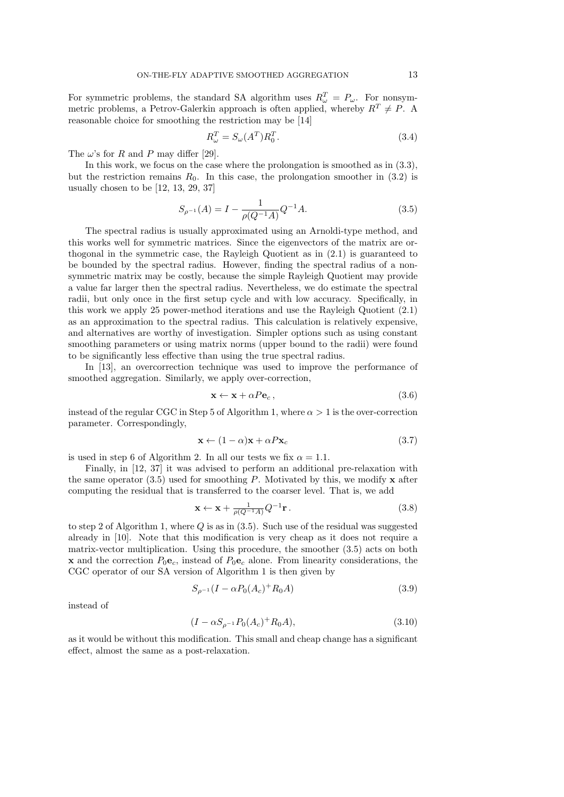For symmetric problems, the standard SA algorithm uses  $R^T_\omega = P_\omega$ . For nonsymmetric problems, a Petrov-Galerkin approach is often applied, whereby  $R^T \neq P$ . A reasonable choice for smoothing the restriction may be [14]

$$
R_{\omega}^T = S_{\omega}(A^T)R_0^T.
$$
\n(3.4)

The  $\omega$ 's for *R* and *P* may differ [29].

In this work, we focus on the case where the prolongation is smoothed as in (3.3), but the restriction remains  $R_0$ . In this case, the prolongation smoother in  $(3.2)$  is usually chosen to be [12, 13, 29, 37]

$$
S_{\rho^{-1}}(A) = I - \frac{1}{\rho(Q^{-1}A)}Q^{-1}A.
$$
\n(3.5)

The spectral radius is usually approximated using an Arnoldi-type method, and this works well for symmetric matrices. Since the eigenvectors of the matrix are orthogonal in the symmetric case, the Rayleigh Quotient as in (2.1) is guaranteed to be bounded by the spectral radius. However, finding the spectral radius of a nonsymmetric matrix may be costly, because the simple Rayleigh Quotient may provide a value far larger then the spectral radius. Nevertheless, we do estimate the spectral radii, but only once in the first setup cycle and with low accuracy. Specifically, in this work we apply 25 power-method iterations and use the Rayleigh Quotient (2.1) as an approximation to the spectral radius. This calculation is relatively expensive, and alternatives are worthy of investigation. Simpler options such as using constant smoothing parameters or using matrix norms (upper bound to the radii) were found to be significantly less effective than using the true spectral radius.

In [13], an overcorrection technique was used to improve the performance of smoothed aggregation. Similarly, we apply over-correction,

$$
\mathbf{x} \leftarrow \mathbf{x} + \alpha P \mathbf{e}_c, \tag{3.6}
$$

instead of the regular CGC in Step 5 of Algorithm 1, where  $\alpha > 1$  is the over-correction parameter. Correspondingly,

$$
\mathbf{x} \leftarrow (1 - \alpha)\mathbf{x} + \alpha P \mathbf{x}_c \tag{3.7}
$$

is used in step 6 of Algorithm 2. In all our tests we fix  $\alpha = 1.1$ .

Finally, in [12, 37] it was advised to perform an additional pre-relaxation with the same operator  $(3.5)$  used for smoothing *P*. Motivated by this, we modify **x** after computing the residual that is transferred to the coarser level. That is, we add

$$
\mathbf{x} \leftarrow \mathbf{x} + \frac{1}{\rho(Q^{-1}A)} Q^{-1} \mathbf{r} \,. \tag{3.8}
$$

to step 2 of Algorithm 1, where *Q* is as in (3.5). Such use of the residual was suggested already in [10]. Note that this modification is very cheap as it does not require a matrix-vector multiplication. Using this procedure, the smoother (3.5) acts on both **x** and the correction  $P_0 \mathbf{e}_c$ , instead of  $P_0 \mathbf{e}_c$  alone. From linearity considerations, the CGC operator of our SA version of Algorithm 1 is then given by

$$
S_{\rho^{-1}}(I - \alpha P_0(A_c)^+ R_0 A) \tag{3.9}
$$

instead of

$$
(I - \alpha S_{\rho^{-1}} P_0(A_c)^+ R_0 A), \tag{3.10}
$$

as it would be without this modification. This small and cheap change has a significant effect, almost the same as a post-relaxation.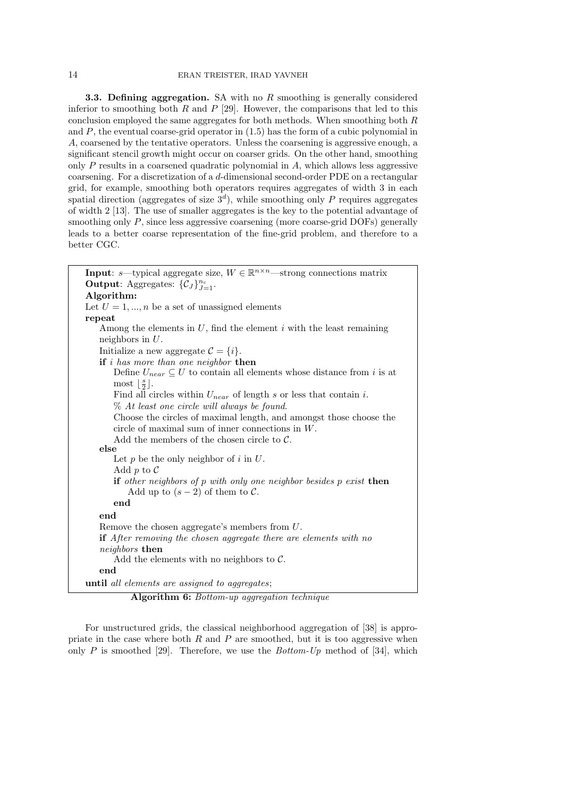**3.3. Defining aggregation.** SA with no *R* smoothing is generally considered inferior to smoothing both *R* and *P* [29]. However, the comparisons that led to this conclusion employed the same aggregates for both methods. When smoothing both *R* and  $P$ , the eventual coarse-grid operator in  $(1.5)$  has the form of a cubic polynomial in *A*, coarsened by the tentative operators. Unless the coarsening is aggressive enough, a significant stencil growth might occur on coarser grids. On the other hand, smoothing only *P* results in a coarsened quadratic polynomial in *A*, which allows less aggressive coarsening. For a discretization of a *d*-dimensional second-order PDE on a rectangular grid, for example, smoothing both operators requires aggregates of width 3 in each spatial direction (aggregates of size  $3<sup>d</sup>$ ), while smoothing only *P* requires aggregates of width 2 [13]. The use of smaller aggregates is the key to the potential advantage of smoothing only *P*, since less aggressive coarsening (more coarse-grid DOFs) generally leads to a better coarse representation of the fine-grid problem, and therefore to a better CGC.

| <b>Input:</b> s—typical aggregate size, $W \in \mathbb{R}^{n \times n}$ —strong connections matrix         |  |  |  |  |  |  |  |
|------------------------------------------------------------------------------------------------------------|--|--|--|--|--|--|--|
| <b>Output:</b> Aggregates: $\{\mathcal{C}_J\}_{J=1}^{n_c}$ .                                               |  |  |  |  |  |  |  |
| Algorithm:                                                                                                 |  |  |  |  |  |  |  |
| Let $U = 1, , n$ be a set of unassigned elements                                                           |  |  |  |  |  |  |  |
| repeat                                                                                                     |  |  |  |  |  |  |  |
| Among the elements in $U$ , find the element $i$ with the least remaining                                  |  |  |  |  |  |  |  |
| neighbors in $U$ .                                                                                         |  |  |  |  |  |  |  |
| Initialize a new aggregate $\mathcal{C} = \{i\}.$                                                          |  |  |  |  |  |  |  |
| if $i$ has more than one neighbor then                                                                     |  |  |  |  |  |  |  |
| Define $U_{near} \subseteq U$ to contain all elements whose distance from i is at                          |  |  |  |  |  |  |  |
| most $\lfloor \frac{s}{2} \rfloor$ .                                                                       |  |  |  |  |  |  |  |
| Find all circles within $U_{near}$ of length s or less that contain i.                                     |  |  |  |  |  |  |  |
| % At least one circle will always be found.                                                                |  |  |  |  |  |  |  |
| Choose the circles of maximal length, and amongst those choose the                                         |  |  |  |  |  |  |  |
| circle of maximal sum of inner connections in $W$ .                                                        |  |  |  |  |  |  |  |
| Add the members of the chosen circle to $\mathcal{C}$ .                                                    |  |  |  |  |  |  |  |
| else                                                                                                       |  |  |  |  |  |  |  |
| Let $p$ be the only neighbor of $i$ in $U$ .                                                               |  |  |  |  |  |  |  |
| Add p to $\mathcal C$                                                                                      |  |  |  |  |  |  |  |
| if other neighbors of $p$ with only one neighbor besides $p$ exist then<br>Add up to $(s-2)$ of them to C. |  |  |  |  |  |  |  |
| end                                                                                                        |  |  |  |  |  |  |  |
| end                                                                                                        |  |  |  |  |  |  |  |
| Remove the chosen aggregate's members from $U$ .                                                           |  |  |  |  |  |  |  |
| <b>if</b> After removing the chosen aggregate there are elements with no                                   |  |  |  |  |  |  |  |
| <i>neighbors</i> then                                                                                      |  |  |  |  |  |  |  |
| Add the elements with no neighbors to $\mathcal{C}$ .                                                      |  |  |  |  |  |  |  |
| end                                                                                                        |  |  |  |  |  |  |  |
| until all elements are assigned to aggregates;                                                             |  |  |  |  |  |  |  |

**Algorithm 6:** *Bottom-up aggregation technique*

For unstructured grids, the classical neighborhood aggregation of [38] is appropriate in the case where both  $R$  and  $P$  are smoothed, but it is too aggressive when only *P* is smoothed [29]. Therefore, we use the *Bottom-Up* method of [34], which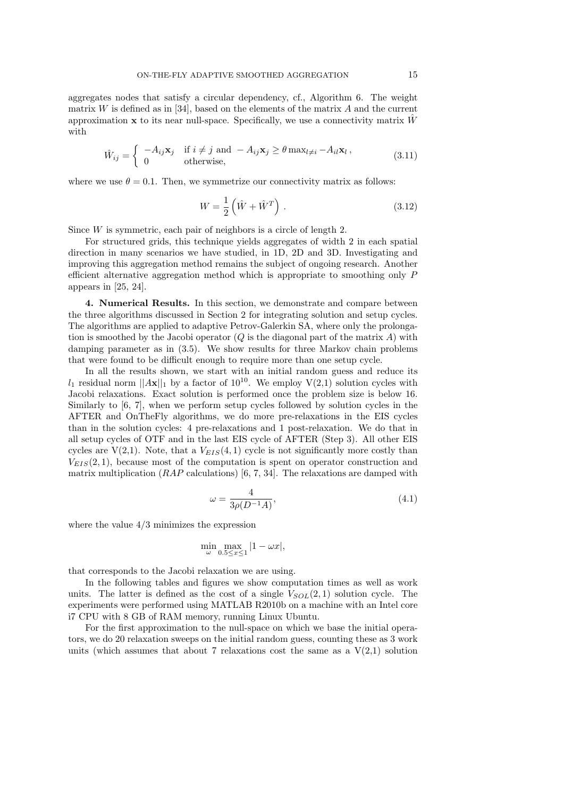aggregates nodes that satisfy a circular dependency, cf., Algorithm 6. The weight matrix *W* is defined as in [34], based on the elements of the matrix *A* and the current approximation **x** to its near null-space. Specifically, we use a connectivity matrix *W*ˆ with

$$
\hat{W}_{ij} = \begin{cases}\n-A_{ij}\mathbf{x}_j & \text{if } i \neq j \text{ and } -A_{ij}\mathbf{x}_j \geq \theta \max_{l \neq i} -A_{il}\mathbf{x}_l, \\
0 & \text{otherwise,}\n\end{cases}
$$
\n(3.11)

where we use  $\theta = 0.1$ . Then, we symmetrize our connectivity matrix as follows:

$$
W = \frac{1}{2} \left( \hat{W} + \hat{W}^T \right). \tag{3.12}
$$

Since *W* is symmetric, each pair of neighbors is a circle of length 2.

For structured grids, this technique yields aggregates of width 2 in each spatial direction in many scenarios we have studied, in 1D, 2D and 3D. Investigating and improving this aggregation method remains the subject of ongoing research. Another efficient alternative aggregation method which is appropriate to smoothing only *P* appears in [25, 24].

**4. Numerical Results.** In this section, we demonstrate and compare between the three algorithms discussed in Section 2 for integrating solution and setup cycles. The algorithms are applied to adaptive Petrov-Galerkin SA, where only the prolongation is smoothed by the Jacobi operator (*Q* is the diagonal part of the matrix *A*) with damping parameter as in (3.5). We show results for three Markov chain problems that were found to be difficult enough to require more than one setup cycle.

In all the results shown, we start with an initial random guess and reduce its  $l_1$  residual norm  $||A\mathbf{x}||_1$  by a factor of 10<sup>10</sup>. We employ V(2,1) solution cycles with Jacobi relaxations. Exact solution is performed once the problem size is below 16. Similarly to [6, 7], when we perform setup cycles followed by solution cycles in the AFTER and OnTheFly algorithms, we do more pre-relaxations in the EIS cycles than in the solution cycles: 4 pre-relaxations and 1 post-relaxation. We do that in all setup cycles of OTF and in the last EIS cycle of AFTER (Step 3). All other EIS cycles are  $V(2,1)$ . Note, that a  $V_{EIS}(4,1)$  cycle is not significantly more costly than  $V_{EIS}(2,1)$ , because most of the computation is spent on operator construction and matrix multiplication (*RAP* calculations) [6, 7, 34]. The relaxations are damped with

$$
\omega = \frac{4}{3\rho(D^{-1}A)},\tag{4.1}
$$

where the value 4/3 minimizes the expression

$$
\min_{\omega} \max_{0.5 \le x \le 1} |1 - \omega x|,
$$

that corresponds to the Jacobi relaxation we are using.

In the following tables and figures we show computation times as well as work units. The latter is defined as the cost of a single  $V_{SOL}(2,1)$  solution cycle. The experiments were performed using MATLAB R2010b on a machine with an Intel core i7 CPU with 8 GB of RAM memory, running Linux Ubuntu.

For the first approximation to the null-space on which we base the initial operators, we do 20 relaxation sweeps on the initial random guess, counting these as 3 work units (which assumes that about 7 relaxations cost the same as a  $V(2,1)$  solution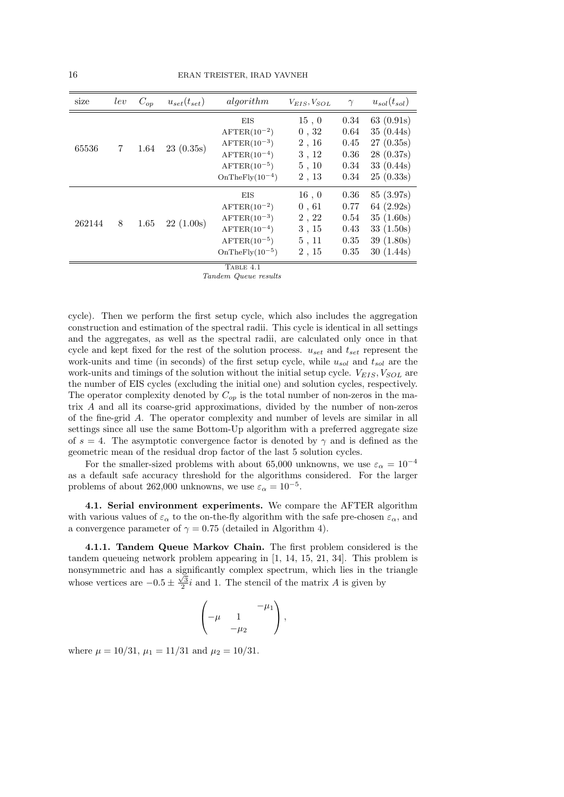| size   | lev | $C_{op}$ | $u_{set}(t_{set})$ | algorithm                                                                                                                   | $V_{EIS}, V_{SOL}$                                 | $\gamma$                                     | $u_{sol}(t_{sol})$                                                            |
|--------|-----|----------|--------------------|-----------------------------------------------------------------------------------------------------------------------------|----------------------------------------------------|----------------------------------------------|-------------------------------------------------------------------------------|
| 65536  | 7   | 1.64     | 23(0.35s)          | EIS<br>$A$ FTER $(10^{-2})$<br>$A$ FTER $(10^{-3})$<br>$A$ FTER $(10^{-4})$<br>$A$ FTER $(10^{-5})$<br>$OnThe Fly(10-4)$    | 15, 0<br>0, 32<br>2, 16<br>3, 12<br>5, 10<br>2, 13 | 0.34<br>0.64<br>0.45<br>0.36<br>0.34<br>0.34 | 63 $(0.91s)$<br>35(0.44s)<br>27(0.35s)<br>28(0.37s)<br>33(0.44s)<br>25(0.33s) |
| 262144 | 8   | 1.65     | 22(1.00s)          | EIS<br>$A$ FTER $(10^{-2})$<br>$A$ FTER $(10^{-3})$<br>$A$ FTER $(10^{-4})$<br>$A$ FTER $(10^{-5})$<br>$OnThe Fly(10^{-5})$ | 16, 0<br>0,61<br>2, 22<br>3, 15<br>5, 11<br>2, 15  | 0.36<br>0.77<br>0.54<br>0.43<br>0.35<br>0.35 | 85 (3.97s)<br>64 (2.92s)<br>35(1.60s)<br>33(1.50s)<br>39(1.80s)<br>30(1.44s)  |

 $T$ ABLE  $4.1$ 

*Tandem Queue results*

cycle). Then we perform the first setup cycle, which also includes the aggregation construction and estimation of the spectral radii. This cycle is identical in all settings and the aggregates, as well as the spectral radii, are calculated only once in that cycle and kept fixed for the rest of the solution process. *uset* and *tset* represent the work-units and time (in seconds) of the first setup cycle, while *usol* and *tsol* are the work-units and timings of the solution without the initial setup cycle. *VEIS, VSOL* are the number of EIS cycles (excluding the initial one) and solution cycles, respectively. The operator complexity denoted by *Cop* is the total number of non-zeros in the matrix *A* and all its coarse-grid approximations, divided by the number of non-zeros of the fine-grid *A*. The operator complexity and number of levels are similar in all settings since all use the same Bottom-Up algorithm with a preferred aggregate size of  $s = 4$ . The asymptotic convergence factor is denoted by  $\gamma$  and is defined as the geometric mean of the residual drop factor of the last 5 solution cycles.

For the smaller-sized problems with about 65,000 unknowns, we use  $\varepsilon_{\alpha} = 10^{-4}$ as a default safe accuracy threshold for the algorithms considered. For the larger problems of about 262,000 unknowns, we use  $\varepsilon_{\alpha} = 10^{-5}$ .

**4.1. Serial environment experiments.** We compare the AFTER algorithm with various values of  $\varepsilon_{\alpha}$  to the on-the-fly algorithm with the safe pre-chosen  $\varepsilon_{\alpha}$ , and a convergence parameter of  $\gamma = 0.75$  (detailed in Algorithm 4).

**4.1.1. Tandem Queue Markov Chain.** The first problem considered is the tandem queueing network problem appearing in [1, 14, 15, 21, 34]. This problem is nonsymmetric and has a significantly complex spectrum, which lies in the triangle whose vertices are  $-0.5 \pm \frac{\sqrt{3}}{2}i$  and 1. The stencil of the matrix *A* is given by

$$
\begin{pmatrix} & & -\mu_1 \\ -\mu & 1 & \\ & -\mu_2 & \end{pmatrix},
$$

where  $\mu = 10/31$ ,  $\mu_1 = 11/31$  and  $\mu_2 = 10/31$ .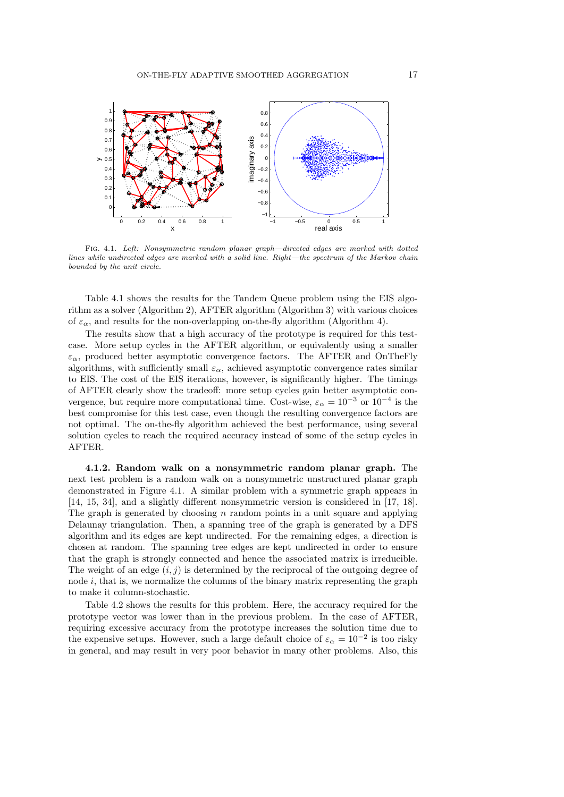

Fig. 4.1. *Left: Nonsymmetric random planar graph—directed edges are marked with dotted lines while undirected edges are marked with a solid line. Right—the spectrum of the Markov chain bounded by the unit circle.*

Table 4.1 shows the results for the Tandem Queue problem using the EIS algorithm as a solver (Algorithm 2), AFTER algorithm (Algorithm 3) with various choices of  $\varepsilon_{\alpha}$ , and results for the non-overlapping on-the-fly algorithm (Algorithm 4).

The results show that a high accuracy of the prototype is required for this testcase. More setup cycles in the AFTER algorithm, or equivalently using a smaller  $\varepsilon_{\alpha}$ , produced better asymptotic convergence factors. The AFTER and OnTheFly algorithms, with sufficiently small  $\varepsilon_{\alpha}$ , achieved asymptotic convergence rates similar to EIS. The cost of the EIS iterations, however, is significantly higher. The timings of AFTER clearly show the tradeoff: more setup cycles gain better asymptotic convergence, but require more computational time. Cost-wise,  $\varepsilon_{\alpha} = 10^{-3}$  or  $10^{-4}$  is the best compromise for this test case, even though the resulting convergence factors are not optimal. The on-the-fly algorithm achieved the best performance, using several solution cycles to reach the required accuracy instead of some of the setup cycles in AFTER.

**4.1.2. Random walk on a nonsymmetric random planar graph.** The next test problem is a random walk on a nonsymmetric unstructured planar graph demonstrated in Figure 4.1. A similar problem with a symmetric graph appears in [14, 15, 34], and a slightly different nonsymmetric version is considered in [17, 18]. The graph is generated by choosing *n* random points in a unit square and applying Delaunay triangulation. Then, a spanning tree of the graph is generated by a DFS algorithm and its edges are kept undirected. For the remaining edges, a direction is chosen at random. The spanning tree edges are kept undirected in order to ensure that the graph is strongly connected and hence the associated matrix is irreducible. The weight of an edge  $(i, j)$  is determined by the reciprocal of the outgoing degree of node *i*, that is, we normalize the columns of the binary matrix representing the graph to make it column-stochastic.

Table 4.2 shows the results for this problem. Here, the accuracy required for the prototype vector was lower than in the previous problem. In the case of AFTER, requiring excessive accuracy from the prototype increases the solution time due to the expensive setups. However, such a large default choice of  $\varepsilon_{\alpha} = 10^{-2}$  is too risky in general, and may result in very poor behavior in many other problems. Also, this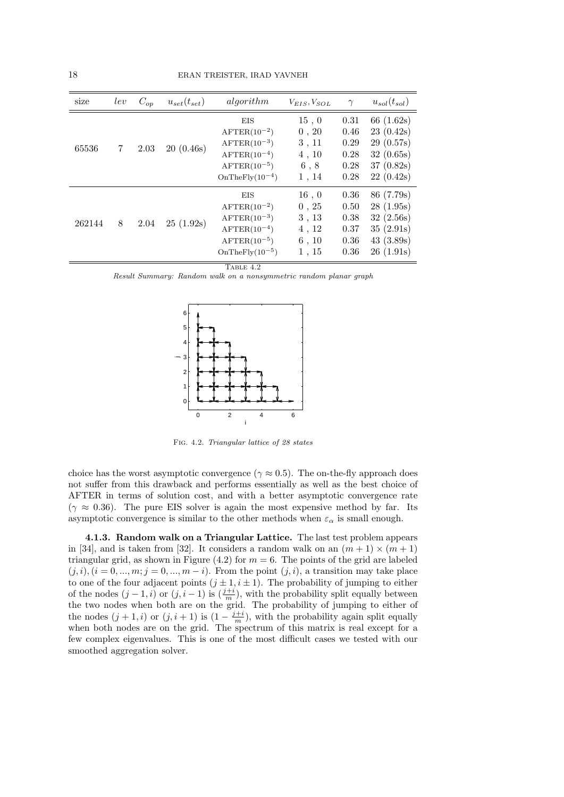| size   | lev | $C_{op}$ | $u_{set}(t_{set})$ | algorithm                                                                                                                   | $V_{EIS}, V_{SOL}$                                 | $\gamma$                                     | $u_{sol}(t_{sol})$                                                            |
|--------|-----|----------|--------------------|-----------------------------------------------------------------------------------------------------------------------------|----------------------------------------------------|----------------------------------------------|-------------------------------------------------------------------------------|
| 65536  | 7   | 2.03     | 20(0.46s)          | EIS<br>$A$ FTER $(10^{-2})$<br>$A$ FTER $(10^{-3})$<br>$A$ FTER $(10^{-4})$<br>$A$ FTER $(10^{-5})$<br>$OnThe Fly(10-4)$    | 15, 0<br>0, 20<br>3, 11<br>4, 10<br>6, 8<br>1, 14  | 0.31<br>0.46<br>0.29<br>0.28<br>0.28<br>0.28 | 66 $(1.62s)$<br>23(0.42s)<br>29(0.57s)<br>32(0.65s)<br>37(0.82s)<br>22(0.42s) |
| 262144 | 8   | 2.04     | 25(1.92s)          | EIS<br>$A$ FTER $(10^{-2})$<br>$A$ FTER $(10^{-3})$<br>$A$ FTER $(10^{-4})$<br>$A$ FTER $(10^{-5})$<br>$OnThe Fly(10^{-5})$ | 16, 0<br>0, 25<br>3, 13<br>4, 12<br>6, 10<br>1, 15 | 0.36<br>0.50<br>0.38<br>0.37<br>0.36<br>0.36 | 86 (7.79s)<br>28(1.95s)<br>32(2.56s)<br>35(2.91s)<br>43(3.89s)<br>26(1.91s)   |

 $T$ ABLE  $4.2$ 

*Result Summary: Random walk on a nonsymmetric random planar graph*



Fig. 4.2. *Triangular lattice of 28 states*

choice has the worst asymptotic convergence ( $\gamma \approx 0.5$ ). The on-the-fly approach does not suffer from this drawback and performs essentially as well as the best choice of AFTER in terms of solution cost, and with a better asymptotic convergence rate  $(\gamma \approx 0.36)$ . The pure EIS solver is again the most expensive method by far. Its asymptotic convergence is similar to the other methods when  $\varepsilon_{\alpha}$  is small enough.

**4.1.3. Random walk on a Triangular Lattice.** The last test problem appears in [34], and is taken from [32]. It considers a random walk on an  $(m + 1) \times (m + 1)$ triangular grid, as shown in Figure  $(4.2)$  for  $m = 6$ . The points of the grid are labeled  $(i,i), (i = 0, \ldots, m; j = 0, \ldots, m - i)$ . From the point  $(j,i)$ , a transition may take place to one of the four adjacent points  $(j \pm 1, i \pm 1)$ . The probability of jumping to either of the nodes  $(j-1, i)$  or  $(j, i-1)$  is  $(\frac{j+i}{m})$ , with the probability split equally between the two nodes when both are on the grid. The probability of jumping to either of the nodes  $(j + 1, i)$  or  $(j, i + 1)$  is  $(1 - \frac{j+i}{m})$ , with the probability again split equally when both nodes are on the grid. The spectrum of this matrix is real except for a few complex eigenvalues. This is one of the most difficult cases we tested with our smoothed aggregation solver.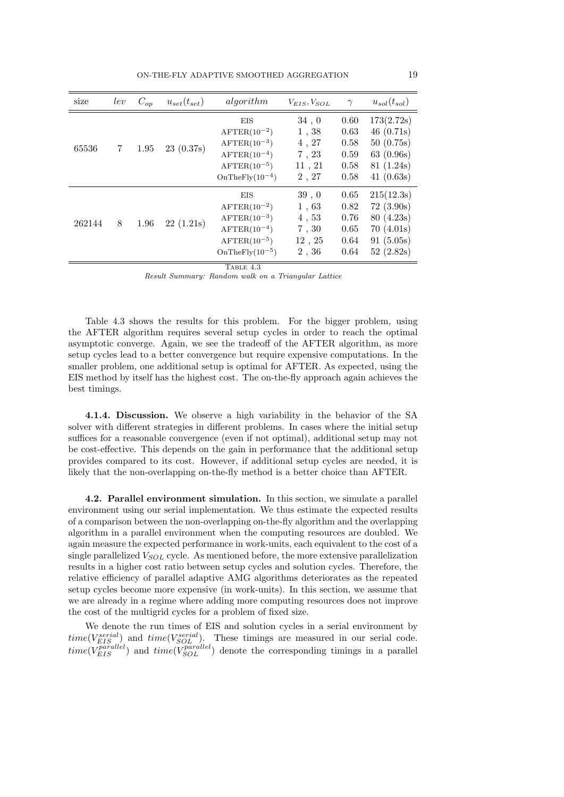| size   | lev | $C_{op}$ | $u_{set}(t_{set})$ | algorithm                                                                                                                       | $V_{EIS}, V_{SOL}$                                | $\gamma$                                     | $u_{sol}(t_{sol})$                                                             |
|--------|-----|----------|--------------------|---------------------------------------------------------------------------------------------------------------------------------|---------------------------------------------------|----------------------------------------------|--------------------------------------------------------------------------------|
| 65536  | 7   | 1.95     | 23(0.37s)          | <b>EIS</b><br>$A$ FTER $(10^{-2})$<br>$A$ FTER $(10^{-3})$<br>$A$ FTER $(10^{-4})$<br>$A$ FTER $(10^{-5})$<br>$OnThe Fly(10-4)$ | 34,0<br>1,38<br>4, 27<br>7, 23<br>11, 21<br>2, 27 | 0.60<br>0.63<br>0.58<br>0.59<br>0.58<br>0.58 | 173(2.72s)<br>46 $(0.71s)$<br>50(0.75s)<br>63(0.96s)<br>81(1.24s)<br>41(0.63s) |
| 262144 | 8   | 1.96     | 22(1.21s)          | EIS<br>$A$ FTER $(10^{-2})$<br>$A$ FTER $(10^{-3})$<br>$A$ FTER $(10^{-4})$<br>$A$ FTER $(10^{-5})$<br>$OnThe Fly(10^{-5})$     | 39, 0<br>1,63<br>4, 53<br>7,30<br>12, 25<br>2,36  | 0.65<br>0.82<br>0.76<br>0.65<br>0.64<br>0.64 | 215(12.3s)<br>72(3.90s)<br>80(4.23s)<br>70(4.01s)<br>91(5.05s)<br>52(2.82s)    |

TABLE 4.3

*Result Summary: Random walk on a Triangular Lattice*

Table 4.3 shows the results for this problem. For the bigger problem, using the AFTER algorithm requires several setup cycles in order to reach the optimal asymptotic converge. Again, we see the tradeoff of the AFTER algorithm, as more setup cycles lead to a better convergence but require expensive computations. In the smaller problem, one additional setup is optimal for AFTER. As expected, using the EIS method by itself has the highest cost. The on-the-fly approach again achieves the best timings.

**4.1.4. Discussion.** We observe a high variability in the behavior of the SA solver with different strategies in different problems. In cases where the initial setup suffices for a reasonable convergence (even if not optimal), additional setup may not be cost-effective. This depends on the gain in performance that the additional setup provides compared to its cost. However, if additional setup cycles are needed, it is likely that the non-overlapping on-the-fly method is a better choice than AFTER.

**4.2. Parallel environment simulation.** In this section, we simulate a parallel environment using our serial implementation. We thus estimate the expected results of a comparison between the non-overlapping on-the-fly algorithm and the overlapping algorithm in a parallel environment when the computing resources are doubled. We again measure the expected performance in work-units, each equivalent to the cost of a single parallelized *VSOL* cycle. As mentioned before, the more extensive parallelization results in a higher cost ratio between setup cycles and solution cycles. Therefore, the relative efficiency of parallel adaptive AMG algorithms deteriorates as the repeated setup cycles become more expensive (in work-units). In this section, we assume that we are already in a regime where adding more computing resources does not improve the cost of the multigrid cycles for a problem of fixed size.

We denote the run times of EIS and solution cycles in a serial environment by  $time(V_{EIS}^{serial})$  and  $time(V_{SOL}^{serial})$ . These timings are measured in our serial code.  $time(V_{EIS}^{parallel})$  and  $time(V_{SOL}^{parallel})$  denote the corresponding timings in a parallel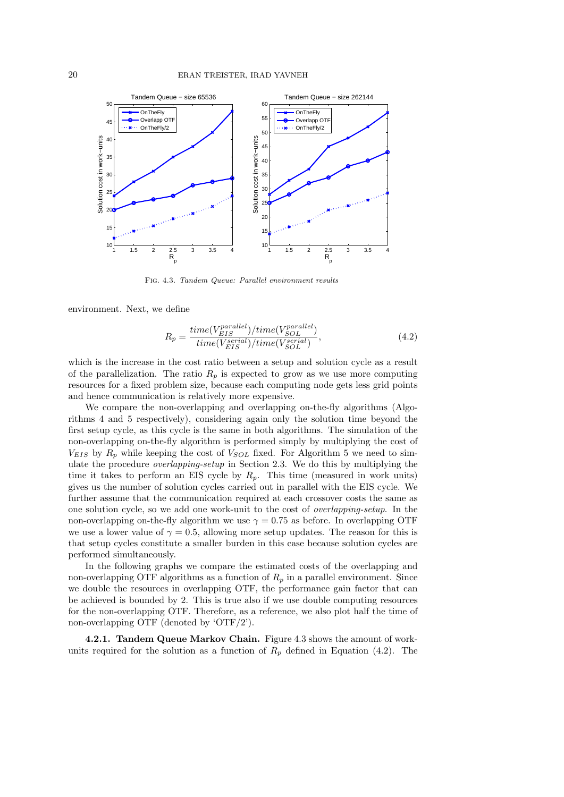

Fig. 4.3. *Tandem Queue: Parallel environment results*

environment. Next, we define

$$
R_p = \frac{time(V_{EIS}^{parallel})/time(V_{SOL}^{parallel})}{time(V_{EIS}^{serial})/time(V_{SOL}^{serial})},
$$
\n(4.2)

which is the increase in the cost ratio between a setup and solution cycle as a result of the parallelization. The ratio  $R_p$  is expected to grow as we use more computing resources for a fixed problem size, because each computing node gets less grid points and hence communication is relatively more expensive.

We compare the non-overlapping and overlapping on-the-fly algorithms (Algorithms 4 and 5 respectively), considering again only the solution time beyond the first setup cycle, as this cycle is the same in both algorithms. The simulation of the non-overlapping on-the-fly algorithm is performed simply by multiplying the cost of  $V_{EIS}$  by  $R_p$  while keeping the cost of  $V_{SOL}$  fixed. For Algorithm 5 we need to simulate the procedure *overlapping-setup* in Section 2.3. We do this by multiplying the time it takes to perform an EIS cycle by  $R_p$ . This time (measured in work units) gives us the number of solution cycles carried out in parallel with the EIS cycle. We further assume that the communication required at each crossover costs the same as one solution cycle, so we add one work-unit to the cost of *overlapping-setup*. In the non-overlapping on-the-fly algorithm we use  $\gamma = 0.75$  as before. In overlapping OTF we use a lower value of  $\gamma = 0.5$ , allowing more setup updates. The reason for this is that setup cycles constitute a smaller burden in this case because solution cycles are performed simultaneously.

In the following graphs we compare the estimated costs of the overlapping and non-overlapping OTF algorithms as a function of  $R_p$  in a parallel environment. Since we double the resources in overlapping OTF, the performance gain factor that can be achieved is bounded by 2. This is true also if we use double computing resources for the non-overlapping OTF. Therefore, as a reference, we also plot half the time of non-overlapping OTF (denoted by 'OTF/2').

**4.2.1. Tandem Queue Markov Chain.** Figure 4.3 shows the amount of workunits required for the solution as a function of  $R_p$  defined in Equation (4.2). The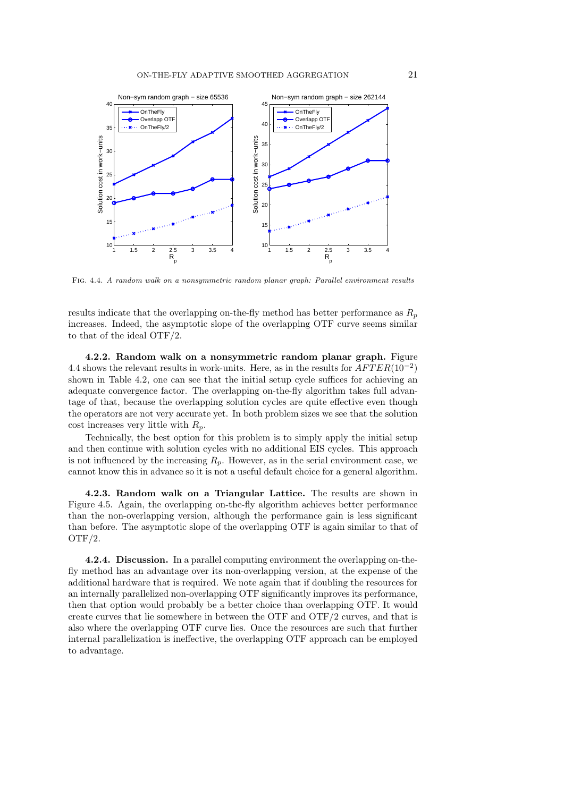

Fig. 4.4. *A random walk on a nonsymmetric random planar graph: Parallel environment results*

results indicate that the overlapping on-the-fly method has better performance as  $R_p$ increases. Indeed, the asymptotic slope of the overlapping OTF curve seems similar to that of the ideal OTF/2.

**4.2.2. Random walk on a nonsymmetric random planar graph.** Figure 4.4 shows the relevant results in work-units. Here, as in the results for *AF T ER*(10*−*<sup>2</sup> ) shown in Table 4.2, one can see that the initial setup cycle suffices for achieving an adequate convergence factor. The overlapping on-the-fly algorithm takes full advantage of that, because the overlapping solution cycles are quite effective even though the operators are not very accurate yet. In both problem sizes we see that the solution cost increases very little with *Rp*.

Technically, the best option for this problem is to simply apply the initial setup and then continue with solution cycles with no additional EIS cycles. This approach is not influenced by the increasing  $R_p$ . However, as in the serial environment case, we cannot know this in advance so it is not a useful default choice for a general algorithm.

**4.2.3. Random walk on a Triangular Lattice.** The results are shown in Figure 4.5. Again, the overlapping on-the-fly algorithm achieves better performance than the non-overlapping version, although the performance gain is less significant than before. The asymptotic slope of the overlapping OTF is again similar to that of OTF/2.

**4.2.4. Discussion.** In a parallel computing environment the overlapping on-thefly method has an advantage over its non-overlapping version, at the expense of the additional hardware that is required. We note again that if doubling the resources for an internally parallelized non-overlapping OTF significantly improves its performance, then that option would probably be a better choice than overlapping OTF. It would create curves that lie somewhere in between the OTF and OTF/2 curves, and that is also where the overlapping OTF curve lies. Once the resources are such that further internal parallelization is ineffective, the overlapping OTF approach can be employed to advantage.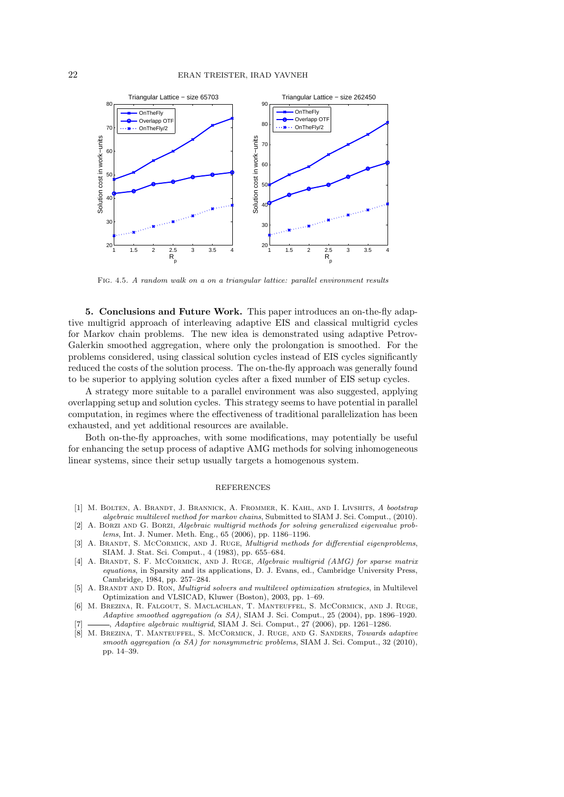

Fig. 4.5. *A random walk on a on a triangular lattice: parallel environment results*

**5. Conclusions and Future Work.** This paper introduces an on-the-fly adaptive multigrid approach of interleaving adaptive EIS and classical multigrid cycles for Markov chain problems. The new idea is demonstrated using adaptive Petrov-Galerkin smoothed aggregation, where only the prolongation is smoothed. For the problems considered, using classical solution cycles instead of EIS cycles significantly reduced the costs of the solution process. The on-the-fly approach was generally found to be superior to applying solution cycles after a fixed number of EIS setup cycles.

A strategy more suitable to a parallel environment was also suggested, applying overlapping setup and solution cycles. This strategy seems to have potential in parallel computation, in regimes where the effectiveness of traditional parallelization has been exhausted, and yet additional resources are available.

Both on-the-fly approaches, with some modifications, may potentially be useful for enhancing the setup process of adaptive AMG methods for solving inhomogeneous linear systems, since their setup usually targets a homogenous system.

#### REFERENCES

- [1] M. Bolten, A. Brandt, J. Brannick, A. Frommer, K. Kahl, and I. Livshits, *A bootstrap algebraic multilevel method for markov chains*, Submitted to SIAM J. Sci. Comput., (2010).
- [2] A. Borzi and G. Borzi, *Algebraic multigrid methods for solving generalized eigenvalue problems*, Int. J. Numer. Meth. Eng., 65 (2006), pp. 1186–1196.
- [3] A. Brandt, S. McCormick, and J. Ruge, *Multigrid methods for differential eigenproblems*, SIAM. J. Stat. Sci. Comput., 4 (1983), pp. 655–684.
- [4] A. Brandt, S. F. McCormick, and J. Ruge, *Algebraic multigrid (AMG) for sparse matrix equations*, in Sparsity and its applications, D. J. Evans, ed., Cambridge University Press, Cambridge, 1984, pp. 257–284.
- [5] A. BRANDT AND D. RON, *Multigrid solvers and multilevel optimization strategies*, in Multilevel Optimization and VLSICAD, Kluwer (Boston), 2003, pp. 1–69.
- [6] M. Brezina, R. Falgout, S. Maclachlan, T. Manteuffel, S. McCormick, and J. Ruge, *Adaptive smoothed aggregation (α SA)*, SIAM J. Sci. Comput., 25 (2004), pp. 1896–1920. [7] , *Adaptive algebraic multigrid*, SIAM J. Sci. Comput., 27 (2006), pp. 1261–1286.
- [8] M. Brezina, T. Manteuffel, S. McCormick, J. Ruge, and G. Sanders, *Towards adaptive smooth aggregation (* $\alpha$  *<i>SA)* for nonsymmetric problems, SIAM J. Sci. Comput., 32 (2010), pp. 14–39.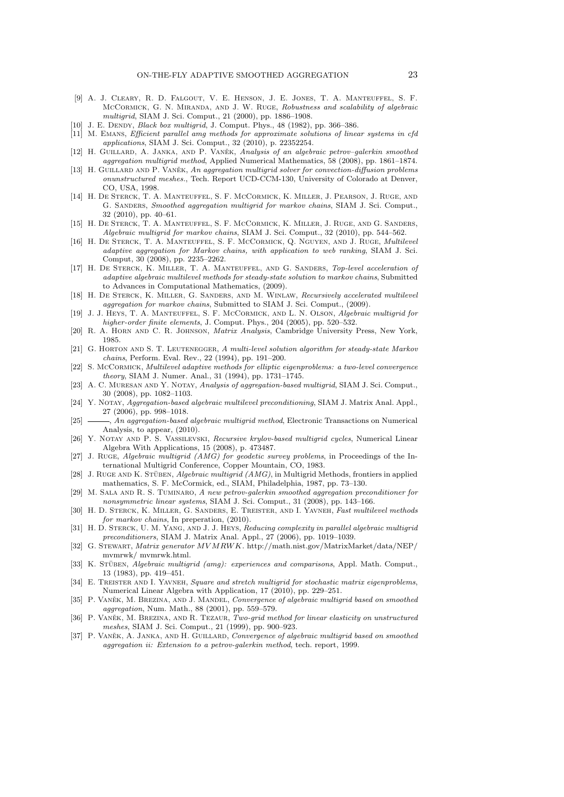- [9] A. J. Cleary, R. D. Falgout, V. E. Henson, J. E. Jones, T. A. Manteuffel, S. F. McCormick, G. N. Miranda, and J. W. Ruge, *Robustness and scalability of algebraic multigrid*, SIAM J. Sci. Comput., 21 (2000), pp. 1886–1908.
- [10] J. E. DENDY, *Black box multigrid*, J. Comput. Phys., 48 (1982), pp. 366-386.
- [11] M. Emans, *Efficient parallel amg methods for approximate solutions of linear systems in cfd applications*, SIAM J. Sci. Comput., 32 (2010), p. 22352254.
- [12] H. GUILLARD, A. JANKA, AND P. VANEK, *Analysis of an algebraic petrov-galerkin smoothed aggregation multigrid method*, Applied Numerical Mathematics, 58 (2008), pp. 1861–1874.
- [13] H. GUILLARD AND P. VANEK, An aggregation multigrid solver for convection-diffusion problems *onunstructured meshes.*, Tech. Report UCD-CCM-130, University of Colorado at Denver, CO, USA, 1998.
- [14] H. De Sterck, T. A. Manteuffel, S. F. McCormick, K. Miller, J. Pearson, J. Ruge, and G. Sanders, *Smoothed aggregation multigrid for markov chains*, SIAM J. Sci. Comput., 32 (2010), pp. 40–61.
- [15] H. DE STERCK, T. A. MANTEUFFEL, S. F. MCCORMICK, K. MILLER, J. RUGE, AND G. SANDERS, *Algebraic multigrid for markov chains*, SIAM J. Sci. Comput., 32 (2010), pp. 544–562.
- [16] H. De Sterck, T. A. Manteuffel, S. F. McCormick, Q. Nguyen, and J. Ruge, *Multilevel adaptive aggregation for Markov chains, with application to web ranking*, SIAM J. Sci. Comput, 30 (2008), pp. 2235–2262.
- [17] H. De Sterck, K. Miller, T. A. Manteuffel, and G. Sanders, *Top-level acceleration of adaptive algebraic multilevel methods for steady-state solution to markov chains*, Submitted to Advances in Computational Mathematics, (2009).
- [18] H. De Sterck, K. Miller, G. Sanders, and M. Winlaw, *Recursively accelerated multilevel aggregation for markov chains*, Submitted to SIAM J. Sci. Comput., (2009).
- [19] J. J. Heys, T. A. Manteuffel, S. F. McCormick, and L. N. Olson, *Algebraic multigrid for higher-order finite elements*, J. Comput. Phys., 204 (2005), pp. 520–532.
- [20] R. A. Horn and C. R. Johnson, *Matrix Analysis*, Cambridge University Press, New York, 1985.
- [21] G. Horton and S. T. Leutenegger, *A multi-level solution algorithm for steady-state Markov chains*, Perform. Eval. Rev., 22 (1994), pp. 191–200.
- [22] S. McCormick, *Multilevel adaptive methods for elliptic eigenproblems: a two-level convergence theory*, SIAM J. Numer. Anal., 31 (1994), pp. 1731–1745.
- [23] A. C. Muresan and Y. Notay, *Analysis of aggregation-based multigrid*, SIAM J. Sci. Comput., 30 (2008), pp. 1082–1103.
- [24] Y. Notay, *Aggregation-based algebraic multilevel preconditioning*, SIAM J. Matrix Anal. Appl., 27 (2006), pp. 998–1018.
- [25] , *An aggregation-based algebraic multigrid method*, Electronic Transactions on Numerical Analysis, to appear, (2010).
- [26] Y. Notay and P. S. Vassilevski, *Recursive krylov-based multigrid cycles*, Numerical Linear Algebra With Applications, 15 (2008), p. 473487.
- [27] J. Ruge, *Algebraic multigrid (AMG) for geodetic survey problems*, in Proceedings of the International Multigrid Conference, Copper Mountain, CO, 1983.
- [28] J. RUGE AND K. STÜBEN, *Algebraic multigrid (AMG)*, in Multigrid Methods, frontiers in applied mathematics, S. F. McCormick, ed., SIAM, Philadelphia, 1987, pp. 73–130.
- [29] M. Sala and R. S. Tuminaro, *A new petrov-galerkin smoothed aggregation preconditioner for nonsymmetric linear systems*, SIAM J. Sci. Comput., 31 (2008), pp. 143–166.
- [30] H. D. Sterck, K. Miller, G. Sanders, E. Treister, and I. Yavneh, *Fast multilevel methods for markov chains*, In preperation, (2010).
- [31] H. D. Sterck, U. M. Yang, and J. J. Heys, *Reducing complexity in parallel algebraic multigrid preconditioners*, SIAM J. Matrix Anal. Appl., 27 (2006), pp. 1019–1039.
- [32] G. Stewart, *Matrix generator MV MRWK*. http://math.nist.gov/MatrixMarket/data/NEP/ mvmrwk/ mvmrwk.html.
- [33] K. STÜBEN, *Algebraic multigrid (amg): experiences and comparisons*, Appl. Math. Comput., 13 (1983), pp. 419–451.
- [34] E. Treister and I. Yavneh, *Square and stretch multigrid for stochastic matrix eigenproblems*, Numerical Linear Algebra with Application, 17 (2010), pp. 229–251.
- [35] P. VANĚK, M. BREZINA, AND J. MANDEL, *Convergence of algebraic multigrid based on smoothed aggregation*, Num. Math., 88 (2001), pp. 559–579.
- [36] P. VANEK, M. BREZINA, AND R. TEZAUR, *Two-grid method for linear elasticity on unstructured meshes*, SIAM J. Sci. Comput., 21 (1999), pp. 900–923.
- [37] P. VANEK, A. JANKA, AND H. GUILLARD, *Convergence of algebraic multigrid based on smoothed aggregation ii: Extension to a petrov-galerkin method*, tech. report, 1999.